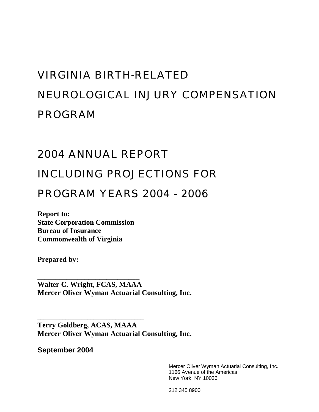# VIRGINIA BIRTH-RELATED NEUROLOGICAL INJURY COMPENSATION PROGRAM

# 2004 ANNUAL REPORT

# INCLUDING PROJECTIONS FOR

# PROGRAM YEARS 2004 - 2006

**Report to: State Corporation Commission Bureau of Insurance Commonwealth of Virginia** 

\_\_\_\_\_\_\_\_\_\_\_\_\_\_\_\_\_\_\_\_\_\_\_\_\_\_\_\_\_\_\_\_\_\_

**Prepared by:** 

**\_\_\_\_\_\_\_\_\_\_\_\_\_\_\_\_\_\_\_\_\_\_\_\_\_\_\_\_ Walter C. Wright, FCAS, MAAA Mercer Oliver Wyman Actuarial Consulting, Inc.** 

**Terry Goldberg, ACAS, MAAA Mercer Oliver Wyman Actuarial Consulting, Inc.** 

**September 2004** 

Mercer Oliver Wyman Actuarial Consulting, Inc. 1166 Avenue of the Americas New York, NY 10036

212 345 8900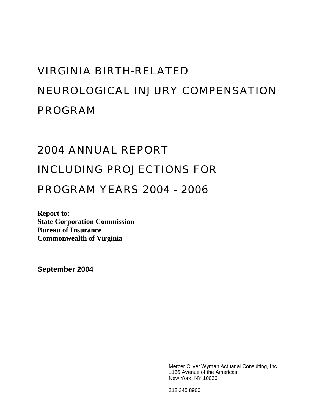# VIRGINIA BIRTH-RELATED NEUROLOGICAL INJURY COMPENSATION PROGRAM

# 2004 ANNUAL REPORT INCLUDING PROJECTIONS FOR

# PROGRAM YEARS 2004 - 2006

**Report to: State Corporation Commission Bureau of Insurance Commonwealth of Virginia** 

**September 2004** 

Mercer Oliver Wyman Actuarial Consulting, Inc. 1166 Avenue of the Americas New York, NY 10036

212 345 8900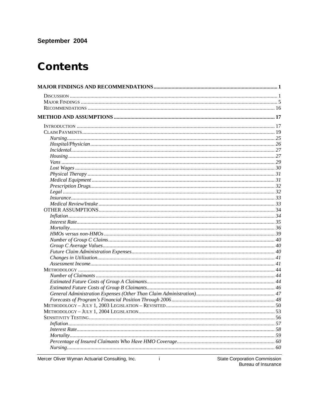## September 2004

# **Contents**

| In surface 1, 33 |  |
|------------------|--|
|                  |  |
|                  |  |
|                  |  |
|                  |  |
|                  |  |
|                  |  |
|                  |  |
|                  |  |
|                  |  |
|                  |  |
|                  |  |
|                  |  |
|                  |  |
|                  |  |
|                  |  |
|                  |  |
|                  |  |
|                  |  |
|                  |  |
|                  |  |
|                  |  |
|                  |  |
|                  |  |
|                  |  |
|                  |  |

Mercer Oliver Wyman Actuarial Consulting, Inc.

 $\sim 10$ 

State Corporation Commission<br>Bureau of Insurance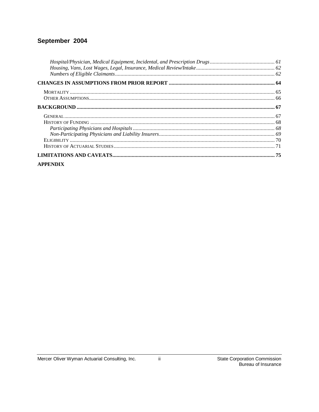### September 2004

### **APPENDIX**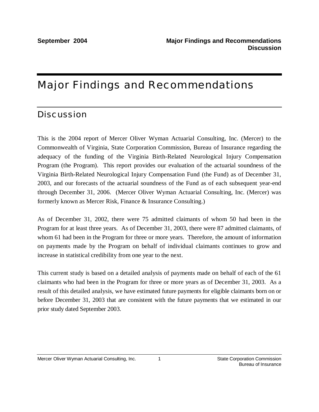# Major Findings and Recommendations

# **Discussion**

This is the 2004 report of Mercer Oliver Wyman Actuarial Consulting, Inc. (Mercer) to the Commonwealth of Virginia, State Corporation Commission, Bureau of Insurance regarding the adequacy of the funding of the Virginia Birth-Related Neurological Injury Compensation Program (the Program). This report provides our evaluation of the actuarial soundness of the Virginia Birth-Related Neurological Injury Compensation Fund (the Fund) as of December 31, 2003, and our forecasts of the actuarial soundness of the Fund as of each subsequent year-end through December 31, 2006. (Mercer Oliver Wyman Actuarial Consulting, Inc. (Mercer) was formerly known as Mercer Risk, Finance & Insurance Consulting.)

As of December 31, 2002, there were 75 admitted claimants of whom 50 had been in the Program for at least three years. As of December 31, 2003, there were 87 admitted claimants, of whom 61 had been in the Program for three or more years. Therefore, the amount of information on payments made by the Program on behalf of individual claimants continues to grow and increase in statistical credibility from one year to the next.

This current study is based on a detailed analysis of payments made on behalf of each of the 61 claimants who had been in the Program for three or more years as of December 31, 2003. As a result of this detailed analysis, we have estimated future payments for eligible claimants born on or before December 31, 2003 that are consistent with the future payments that we estimated in our prior study dated September 2003.

1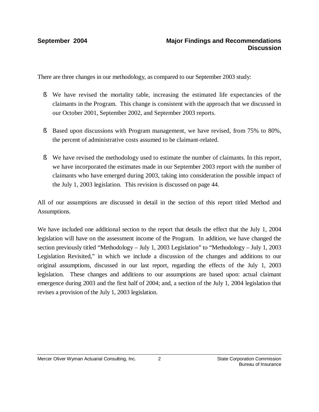There are three changes in our methodology, as compared to our September 2003 study:

- § We have revised the mortality table, increasing the estimated life expectancies of the claimants in the Program. This change is consistent with the approach that we discussed in our October 2001, September 2002, and September 2003 reports.
- § Based upon discussions with Program management, we have revised, from 75% to 80%, the percent of administrative costs assumed to be claimant-related.
- § We have revised the methodology used to estimate the number of claimants. In this report, we have incorporated the estimates made in our September 2003 report with the number of claimants who have emerged during 2003, taking into consideration the possible impact of the July 1, 2003 legislation. This revision is discussed on page 44.

All of our assumptions are discussed in detail in the section of this report titled Method and Assumptions.

We have included one additional section to the report that details the effect that the July 1, 2004 legislation will have on the assessment income of the Program. In addition, we have changed the section previously titled "Methodology – July 1, 2003 Legislation" to "Methodology – July 1, 2003 Legislation Revisited," in which we include a discussion of the changes and additions to our original assumptions, discussed in our last report, regarding the effects of the July 1, 2003 legislation. These changes and additions to our assumptions are based upon: actual claimant emergence during 2003 and the first half of 2004; and, a section of the July 1, 2004 legislation that revises a provision of the July 1, 2003 legislation.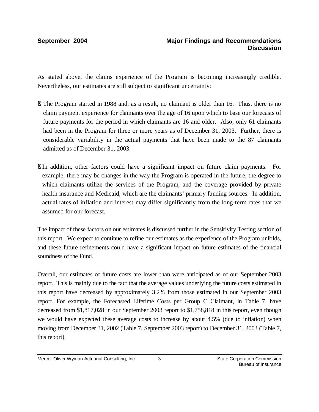As stated above, the claims experience of the Program is becoming increasingly credible. Nevertheless, our estimates are still subject to significant uncertainty:

- § The Program started in 1988 and, as a result, no claimant is older than 16. Thus, there is no claim payment experience for claimants over the age of 16 upon which to base our forecasts of future payments for the period in which claimants are 16 and older. Also, only 61 claimants had been in the Program for three or more years as of December 31, 2003. Further, there is considerable variability in the actual payments that have been made to the 87 claimants admitted as of December 31, 2003.
- § In addition, other factors could have a significant impact on future claim payments. For example, there may be changes in the way the Program is operated in the future, the degree to which claimants utilize the services of the Program, and the coverage provided by private health insurance and Medicaid, which are the claimants' primary funding sources. In addition, actual rates of inflation and interest may differ significantly from the long-term rates that we assumed for our forecast.

The impact of these factors on our estimates is discussed further in the Sensitivity Testing section of this report. We expect to continue to refine our estimates as the experience of the Program unfolds, and these future refinements could have a significant impact on future estimates of the financial soundness of the Fund.

Overall, our estimates of future costs are lower than were anticipated as of our September 2003 report. This is mainly due to the fact that the average values underlying the future costs estimated in this report have decreased by approximately 3.2% from those estimated in our September 2003 report. For example, the Forecasted Lifetime Costs per Group C Claimant, in Table 7, have decreased from \$1,817,028 in our September 2003 report to \$1,758,818 in this report, even though we would have expected these average costs to increase by about 4.5% (due to inflation) when moving from December 31, 2002 (Table 7, September 2003 report) to December 31, 2003 (Table 7, this report).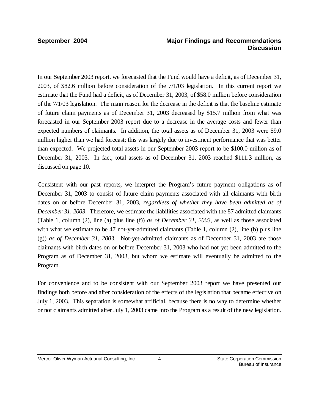In our September 2003 report, we forecasted that the Fund would have a deficit, as of December 31, 2003, of \$82.6 million before consideration of the 7/1/03 legislation. In this current report we estimate that the Fund had a deficit, as of December 31, 2003, of \$58.0 million before consideration of the 7/1/03 legislation. The main reason for the decrease in the deficit is that the baseline estimate of future claim payments as of December 31, 2003 decreased by \$15.7 million from what was forecasted in our September 2003 report due to a decrease in the average costs and fewer than expected numbers of claimants. In addition, the total assets as of December 31, 2003 were \$9.0 million higher than we had forecast; this was largely due to investment performance that was better than expected. We projected total assets in our September 2003 report to be \$100.0 million as of December 31, 2003. In fact, total assets as of December 31, 2003 reached \$111.3 million, as discussed on page 10.

Consistent with our past reports, we interpret the Program's future payment obligations as of December 31, 2003 to consist of future claim payments associated with all claimants with birth dates on or before December 31, 2003, *regardless of whether they have been admitted as of December 31, 2003*. Therefore, we estimate the liabilities associated with the 87 admitted claimants (Table 1, column (2), line (a) plus line (f)) *as of December 31, 2003,* as well as those associated with what we estimate to be 47 not-yet-admitted claimants (Table 1, column  $(2)$ , line (b) plus line (g)) *as of December 31, 2003*. Not-yet-admitted claimants as of December 31, 2003 are those claimants with birth dates on or before December 31, 2003 who had not yet been admitted to the Program as of December 31, 2003, but whom we estimate will eventually be admitted to the Program.

For convenience and to be consistent with our September 2003 report we have presented our findings both before and after consideration of the effects of the legislation that became effective on July 1, 2003. This separation is somewhat artificial, because there is no way to determine whether or not claimants admitted after July 1, 2003 came into the Program as a result of the new legislation.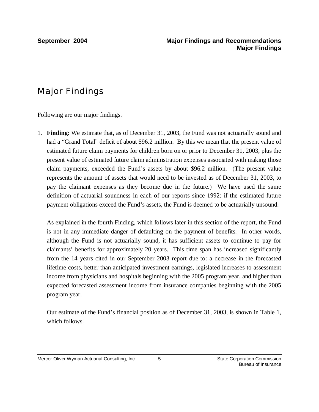# Major Findings

Following are our major findings.

1. **Finding**: We estimate that, as of December 31, 2003, the Fund was not actuarially sound and had a "Grand Total" deficit of about \$96.2 million. By this we mean that the present value of estimated future claim payments for children born on or prior to December 31, 2003, plus the present value of estimated future claim administration expenses associated with making those claim payments, exceeded the Fund's assets by about \$96.2 million. (The present value represents the amount of assets that would need to be invested as of December 31, 2003, to pay the claimant expenses as they become due in the future.) We have used the same definition of actuarial soundness in each of our reports since 1992: if the estimated future payment obligations exceed the Fund's assets, the Fund is deemed to be actuarially unsound.

As explained in the fourth Finding, which follows later in this section of the report, the Fund is not in any immediate danger of defaulting on the payment of benefits. In other words, although the Fund is not actuarially sound, it has sufficient assets to continue to pay for claimants' benefits for approximately 20 years. This time span has increased significantly from the 14 years cited in our September 2003 report due to: a decrease in the forecasted lifetime costs, better than anticipated investment earnings, legislated increases to assessment income from physicians and hospitals beginning with the 2005 program year, and higher than expected forecasted assessment income from insurance companies beginning with the 2005 program year.

Our estimate of the Fund's financial position as of December 31, 2003, is shown in Table 1, which follows.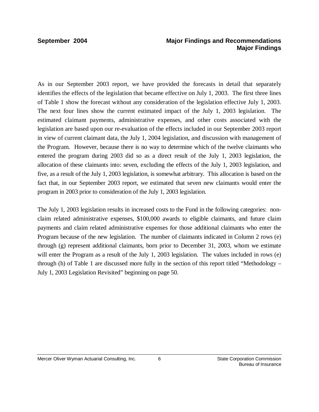As in our September 2003 report, we have provided the forecasts in detail that separately identifies the effects of the legislation that became effective on July 1, 2003. The first three lines of Table 1 show the forecast without any consideration of the legislation effective July 1, 2003. The next four lines show the current estimated impact of the July 1, 2003 legislation. The estimated claimant payments, administrative expenses, and other costs associated with the legislation are based upon our re-evaluation of the effects included in our September 2003 report in view of current claimant data, the July 1, 2004 legislation, and discussion with management of the Program. However, because there is no way to determine which of the twelve claimants who entered the program during 2003 did so as a direct result of the July 1, 2003 legislation, the allocation of these claimants into: seven, excluding the effects of the July 1, 2003 legislation, and five, as a result of the July 1, 2003 legislation, is somewhat arbitrary. This allocation is based on the fact that, in our September 2003 report, we estimated that seven new claimants would enter the program in 2003 prior to consideration of the July 1, 2003 legislation.

The July 1, 2003 legislation results in increased costs to the Fund in the following categories: nonclaim related administrative expenses, \$100,000 awards to eligible claimants, and future claim payments and claim related administrative expenses for those additional claimants who enter the Program because of the new legislation. The number of claimants indicated in Column 2 rows (e) through (g) represent additional claimants, born prior to December 31, 2003, whom we estimate will enter the Program as a result of the July 1, 2003 legislation. The values included in rows (e) through (h) of Table 1 are discussed more fully in the section of this report titled "Methodology – July 1, 2003 Legislation Revisited" beginning on page 50.

6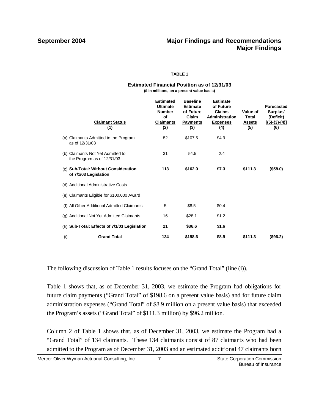### **TABLE 1**

### **Estimated Financial Position as of 12/31/03 (\$ in millions, on a present value basis)**

|     | <b>Claimant Status</b><br>(1)                                   | <b>Estimated</b><br><b>Ultimate</b><br><b>Number</b><br>Οf<br><b>Claimants</b><br>(2) | <b>Baseline</b><br><b>Estimate</b><br>of Future<br>Claim<br><b>Payments</b><br>(3) | <b>Estimate</b><br>of Future<br><b>Claims</b><br>Administration<br><b>Expenses</b><br>(4) | Value of<br>Total<br>Assets<br>(5) | <b>Forecasted</b><br>Surplus/<br>(Deficit)<br>$[(5)-(3)-(4)]$<br>(6) |
|-----|-----------------------------------------------------------------|---------------------------------------------------------------------------------------|------------------------------------------------------------------------------------|-------------------------------------------------------------------------------------------|------------------------------------|----------------------------------------------------------------------|
|     | (a) Claimants Admitted to the Program<br>as of 12/31/03         | 82                                                                                    | \$107.5                                                                            | \$4.9                                                                                     |                                    |                                                                      |
|     | (b) Claimants Not Yet Admitted to<br>the Program as of 12/31/03 | 31                                                                                    | 54.5                                                                               | 2.4                                                                                       |                                    |                                                                      |
|     | (c) Sub-Total: Without Consideration<br>of 7/1/03 Legislation   | 113                                                                                   | \$162.0                                                                            | \$7.3                                                                                     | \$111.3                            | ( \$58.0)                                                            |
|     | (d) Additional Administrative Costs                             |                                                                                       |                                                                                    |                                                                                           |                                    |                                                                      |
|     | (e) Claimants Eligible for \$100,000 Award                      |                                                                                       |                                                                                    |                                                                                           |                                    |                                                                      |
|     | (f) All Other Additional Admitted Claimants                     | 5                                                                                     | \$8.5                                                                              | \$0.4                                                                                     |                                    |                                                                      |
|     | (g) Additional Not Yet Admitted Claimants                       | 16                                                                                    | \$28.1                                                                             | \$1.2                                                                                     |                                    |                                                                      |
|     | (h) Sub-Total: Effects of 7/1/03 Legislation                    | 21                                                                                    | \$36.6                                                                             | \$1.6                                                                                     |                                    |                                                                      |
| (i) | <b>Grand Total</b>                                              | 134                                                                                   | \$198.6                                                                            | \$8.9                                                                                     | \$111.3                            | (\$96.2)                                                             |

The following discussion of Table 1 results focuses on the "Grand Total" (line (i)).

Table 1 shows that, as of December 31, 2003, we estimate the Program had obligations for future claim payments ("Grand Total" of \$198.6 on a present value basis) and for future claim administration expenses ("Grand Total" of \$8.9 million on a present value basis) that exceeded the Program's assets ("Grand Total" of \$111.3 million) by \$96.2 million.

Column 2 of Table 1 shows that, as of December 31, 2003, we estimate the Program had a "Grand Total" of 134 claimants. These 134 claimants consist of 87 claimants who had been admitted to the Program as of December 31, 2003 and an estimated additional 47 claimants born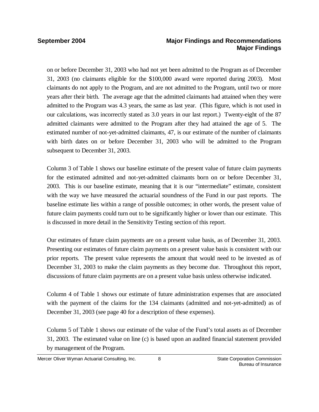on or before December 31, 2003 who had not yet been admitted to the Program as of December 31, 2003 (no claimants eligible for the \$100,000 award were reported during 2003). Most claimants do not apply to the Program, and are not admitted to the Program, until two or more years after their birth. The average age that the admitted claimants had attained when they were admitted to the Program was 4.3 years, the same as last year. (This figure, which is not used in our calculations, was incorrectly stated as 3.0 years in our last report.) Twenty-eight of the 87 admitted claimants were admitted to the Program after they had attained the age of 5. The estimated number of not-yet-admitted claimants, 47, is our estimate of the number of claimants with birth dates on or before December 31, 2003 who will be admitted to the Program subsequent to December 31, 2003.

Column 3 of Table 1 shows our baseline estimate of the present value of future claim payments for the estimated admitted and not-yet-admitted claimants born on or before December 31, 2003. This is our baseline estimate, meaning that it is our "intermediate" estimate, consistent with the way we have measured the actuarial soundness of the Fund in our past reports. The baseline estimate lies within a range of possible outcomes; in other words, the present value of future claim payments could turn out to be significantly higher or lower than our estimate. This is discussed in more detail in the Sensitivity Testing section of this report.

Our estimates of future claim payments are on a present value basis, as of December 31, 2003. Presenting our estimates of future claim payments on a present value basis is consistent with our prior reports. The present value represents the amount that would need to be invested as of December 31, 2003 to make the claim payments as they become due. Throughout this report, discussions of future claim payments are on a present value basis unless otherwise indicated.

Column 4 of Table 1 shows our estimate of future administration expenses that are associated with the payment of the claims for the 134 claimants (admitted and not-yet-admitted) as of December 31, 2003 (see page 40 for a description of these expenses).

Column 5 of Table 1 shows our estimate of the value of the Fund's total assets as of December 31, 2003. The estimated value on line (c) is based upon an audited financial statement provided by management of the Program.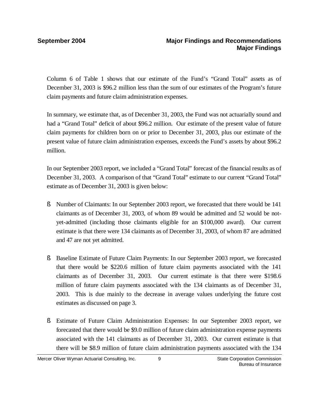Column 6 of Table 1 shows that our estimate of the Fund's "Grand Total" assets as of December 31, 2003 is \$96.2 million less than the sum of our estimates of the Program's future claim payments and future claim administration expenses.

In summary, we estimate that, as of December 31, 2003, the Fund was not actuarially sound and had a "Grand Total" deficit of about \$96.2 million. Our estimate of the present value of future claim payments for children born on or prior to December 31, 2003, plus our estimate of the present value of future claim administration expenses, exceeds the Fund's assets by about \$96.2 million.

In our September 2003 report, we included a "Grand Total" forecast of the financial results as of December 31, 2003. A comparison of that "Grand Total" estimate to our current "Grand Total" estimate as of December 31, 2003 is given below:

- § Number of Claimants: In our September 2003 report, we forecasted that there would be 141 claimants as of December 31, 2003, of whom 89 would be admitted and 52 would be notyet-admitted (including those claimants eligible for an \$100,000 award). Our current estimate is that there were 134 claimants as of December 31, 2003, of whom 87 are admitted and 47 are not yet admitted.
- § Baseline Estimate of Future Claim Payments: In our September 2003 report, we forecasted that there would be \$220.6 million of future claim payments associated with the 141 claimants as of December 31, 2003. Our current estimate is that there were \$198.6 million of future claim payments associated with the 134 claimants as of December 31, 2003. This is due mainly to the decrease in average values underlying the future cost estimates as discussed on page 3.
- § Estimate of Future Claim Administration Expenses: In our September 2003 report, we forecasted that there would be \$9.0 million of future claim administration expense payments associated with the 141 claimants as of December 31, 2003. Our current estimate is that there will be \$8.9 million of future claim administration payments associated with the 134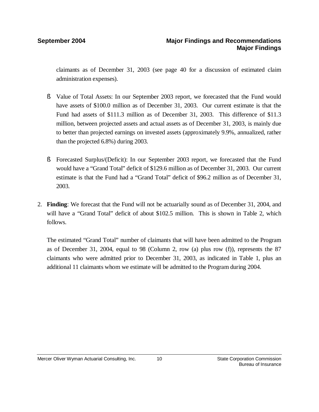claimants as of December 31, 2003 (see page 40 for a discussion of estimated claim administration expenses).

- § Value of Total Assets: In our September 2003 report, we forecasted that the Fund would have assets of \$100.0 million as of December 31, 2003. Our current estimate is that the Fund had assets of \$111.3 million as of December 31, 2003. This difference of \$11.3 million, between projected assets and actual assets as of December 31, 2003, is mainly due to better than projected earnings on invested assets (approximately 9.9%, annualized, rather than the projected 6.8%) during 2003.
- § Forecasted Surplus/(Deficit): In our September 2003 report, we forecasted that the Fund would have a "Grand Total" deficit of \$129.6 million as of December 31, 2003. Our current estimate is that the Fund had a "Grand Total" deficit of \$96.2 million as of December 31, 2003.
- 2. **Finding**: We forecast that the Fund will not be actuarially sound as of December 31, 2004, and will have a "Grand Total" deficit of about \$102.5 million. This is shown in Table 2, which follows.

The estimated "Grand Total" number of claimants that will have been admitted to the Program as of December 31, 2004, equal to 98 (Column 2, row (a) plus row (f)), represents the 87 claimants who were admitted prior to December 31, 2003, as indicated in Table 1, plus an additional 11 claimants whom we estimate will be admitted to the Program during 2004.

10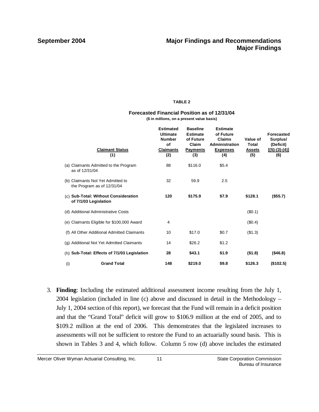### **TABLE 2**

### **Forecasted Financial Position as of 12/31/04 (\$ in millions, on a present value basis)**

|     | <b>Claimant Status</b><br>(1)                                   | <b>Estimated</b><br><b>Ultimate</b><br><b>Number</b><br>of<br><b>Claimants</b><br>(2) | <b>Baseline</b><br><b>Estimate</b><br>of Future<br>Claim<br><b>Payments</b><br>(3) | <b>Estimate</b><br>of Future<br><b>Claims</b><br><b>Administration</b><br><b>Expenses</b><br>(4) | Value of<br>Total<br><b>Assets</b><br>(5) | <b>Forecasted</b><br>Surplus/<br>(Deficit)<br>$[(5)-(3)-(4)]$<br>(6) |
|-----|-----------------------------------------------------------------|---------------------------------------------------------------------------------------|------------------------------------------------------------------------------------|--------------------------------------------------------------------------------------------------|-------------------------------------------|----------------------------------------------------------------------|
|     | (a) Claimants Admitted to the Program<br>as of 12/31/04         | 88                                                                                    | \$116.0                                                                            | \$5.4                                                                                            |                                           |                                                                      |
|     | (b) Claimants Not Yet Admitted to<br>the Program as of 12/31/04 | 32                                                                                    | 59.9                                                                               | 2.5                                                                                              |                                           |                                                                      |
|     | (c) Sub-Total: Without Consideration<br>of 7/1/03 Legislation   | 120                                                                                   | \$175.9                                                                            | \$7.9                                                                                            | \$128.1                                   | (\$55.7)                                                             |
|     | (d) Additional Administrative Costs                             |                                                                                       |                                                                                    |                                                                                                  | (\$0.1)                                   |                                                                      |
|     | (e) Claimants Eligible for \$100,000 Award                      | 4                                                                                     |                                                                                    |                                                                                                  | $(\$0.4)$                                 |                                                                      |
|     | (f) All Other Additional Admitted Claimants                     | 10                                                                                    | \$17.0                                                                             | \$0.7                                                                                            | (\$1.3)                                   |                                                                      |
|     | (g) Additional Not Yet Admitted Claimants                       | 14                                                                                    | \$26.2                                                                             | \$1.2                                                                                            |                                           |                                                                      |
|     | (h) Sub-Total: Effects of 7/1/03 Legislation                    | 28                                                                                    | \$43.1                                                                             | \$1.9                                                                                            | ( \$1.8)                                  | (\$46.8)                                                             |
| (i) | <b>Grand Total</b>                                              | 148                                                                                   | \$219.0                                                                            | \$9.8                                                                                            | \$126.3                                   | (\$102.5)                                                            |

3. **Finding**: Including the estimated additional assessment income resulting from the July 1, 2004 legislation (included in line (c) above and discussed in detail in the Methodology – July 1, 2004 section of this report), we forecast that the Fund will remain in a deficit position and that the "Grand Total" deficit will grow to \$106.9 million at the end of 2005, and to \$109.2 million at the end of 2006. This demonstrates that the legislated increases to assessments will not be sufficient to restore the Fund to an actuarially sound basis. This is shown in Tables 3 and 4, which follow. Column 5 row (d) above includes the estimated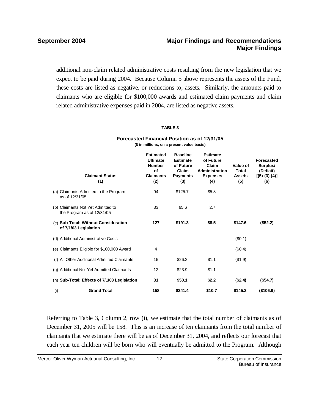additional non-claim related administrative costs resulting from the new legislation that we expect to be paid during 2004. Because Column 5 above represents the assets of the Fund, these costs are listed as negative, or reductions to, assets. Similarly, the amounts paid to claimants who are eligible for \$100,000 awards and estimated claim payments and claim related administrative expenses paid in 2004, are listed as negative assets.

### **TABLE 3**

|     | <b>Claimant Status</b><br>(1)                                   | <b>Estimated</b><br><b>Ultimate</b><br><b>Number</b><br>of<br><b>Claimants</b><br>(2) | <b>Baseline</b><br><b>Estimate</b><br>of Future<br>Claim<br><b>Payments</b><br>(3) | <b>Estimate</b><br>of Future<br>Claim<br>Administration<br><b>Expenses</b><br>(4) | Value of<br><b>Total</b><br><b>Assets</b><br>(5) | <b>Forecasted</b><br>Surplus/<br>(Deficit)<br>$[(5)-(3)-(4)]$<br>(6) |
|-----|-----------------------------------------------------------------|---------------------------------------------------------------------------------------|------------------------------------------------------------------------------------|-----------------------------------------------------------------------------------|--------------------------------------------------|----------------------------------------------------------------------|
|     | (a) Claimants Admitted to the Program<br>as of 12/31/05         | 94                                                                                    | \$125.7                                                                            | \$5.8                                                                             |                                                  |                                                                      |
|     | (b) Claimants Not Yet Admitted to<br>the Program as of 12/31/05 | 33                                                                                    | 65.6                                                                               | 2.7                                                                               |                                                  |                                                                      |
|     | (c) Sub-Total: Without Consideration<br>of 7/1/03 Legislation   | 127                                                                                   | \$191.3                                                                            | \$8.5                                                                             | \$147.6                                          | (\$52.2)                                                             |
|     | (d) Additional Administrative Costs                             |                                                                                       |                                                                                    |                                                                                   | (\$0.1)                                          |                                                                      |
|     | (e) Claimants Eligible for \$100,000 Award                      | 4                                                                                     |                                                                                    |                                                                                   | (\$0.4)                                          |                                                                      |
|     | (f) All Other Additional Admitted Claimants                     | 15                                                                                    | \$26.2                                                                             | \$1.1                                                                             | (\$1.9)                                          |                                                                      |
|     | (g) Additional Not Yet Admitted Claimants                       | 12                                                                                    | \$23.9                                                                             | \$1.1                                                                             |                                                  |                                                                      |
|     | (h) Sub-Total: Effects of 7/1/03 Legislation                    | 31                                                                                    | \$50.1                                                                             | \$2.2                                                                             | (\$2.4)                                          | (\$54.7)                                                             |
| (i) | <b>Grand Total</b>                                              | 158                                                                                   | \$241.4                                                                            | \$10.7                                                                            | \$145.2                                          | (\$106.9)                                                            |

### **Forecasted Financial Position as of 12/31/05 (\$ in millions, on a present value basis)**

Referring to Table 3, Column 2, row (i), we estimate that the total number of claimants as of December 31, 2005 will be 158. This is an increase of ten claimants from the total number of claimants that we estimate there will be as of December 31, 2004, and reflects our forecast that each year ten children will be born who will eventually be admitted to the Program. Although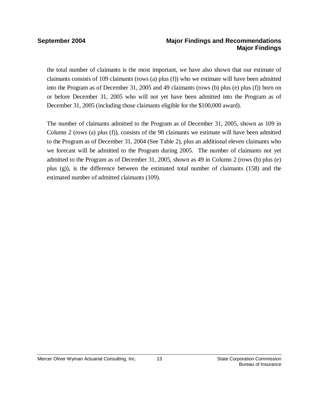the total number of claimants is the most important, we have also shown that our estimate of claimants consists of 109 claimants (rows (a) plus (f)) who we estimate will have been admitted into the Program as of December 31, 2005 and 49 claimants (rows (b) plus (e) plus (f)) born on or before December 31, 2005 who will not yet have been admitted into the Program as of December 31, 2005 (including those claimants eligible for the \$100,000 award).

The number of claimants admitted to the Program as of December 31, 2005, shown as 109 in Column 2 (rows (a) plus (f)), consists of the 98 claimants we estimate will have been admitted to the Program as of December 31, 2004 (See Table 2), plus an additional eleven claimants who we forecast will be admitted to the Program during 2005. The number of claimants not yet admitted to the Program as of December 31, 2005, shown as 49 in Column 2 (rows (b) plus (e) plus (g)), is the difference between the estimated total number of claimants (158) and the estimated number of admitted claimants (109).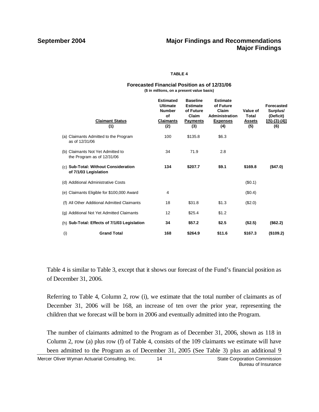### **TABLE 4**

### **Forecasted Financial Position as of 12/31/06**

**(\$ in millions, on a present value basis)**

|     | <b>Claimant Status</b><br>(1)                                 | <b>Estimated</b><br><b>Ultimate</b><br><b>Number</b><br>Οf<br><b>Claimants</b><br>(2) | <b>Baseline</b><br><b>Estimate</b><br>of Future<br>Claim<br><b>Payments</b><br>(3) | <b>Estimate</b><br>of Future<br>Claim<br>Administration<br><b>Expenses</b><br>(4) | Value of<br>Total<br><b>Assets</b><br>(5) | <b>Forecasted</b><br>Surplus/<br>(Deficit)<br>$[(5)-(3)-(4)]$<br>(6) |
|-----|---------------------------------------------------------------|---------------------------------------------------------------------------------------|------------------------------------------------------------------------------------|-----------------------------------------------------------------------------------|-------------------------------------------|----------------------------------------------------------------------|
| (a) | Claimants Admitted to the Program<br>as of 12/31/06           | 100                                                                                   | \$135.8                                                                            | \$6.3                                                                             |                                           |                                                                      |
| (b) | Claimants Not Yet Admitted to<br>the Program as of 12/31/06   | 34                                                                                    | 71.9                                                                               | 2.8                                                                               |                                           |                                                                      |
|     | (c) Sub-Total: Without Consideration<br>of 7/1/03 Legislation | 134                                                                                   | \$207.7                                                                            | \$9.1                                                                             | \$169.8                                   | (\$47.0)                                                             |
|     | (d) Additional Administrative Costs                           |                                                                                       |                                                                                    |                                                                                   | (\$0.1)                                   |                                                                      |
|     | (e) Claimants Eligible for \$100,000 Award                    | 4                                                                                     |                                                                                    |                                                                                   | (\$0.4)                                   |                                                                      |
|     | (f) All Other Additional Admitted Claimants                   | 18                                                                                    | \$31.8                                                                             | \$1.3                                                                             | (\$2.0)                                   |                                                                      |
|     | (g) Additional Not Yet Admitted Claimants                     | 12                                                                                    | \$25.4                                                                             | \$1.2                                                                             |                                           |                                                                      |
|     | (h) Sub-Total: Effects of 7/1/03 Legislation                  | 34                                                                                    | \$57.2                                                                             | \$2.5                                                                             | (\$2.5)                                   | (\$62.2)                                                             |
| (i) | <b>Grand Total</b>                                            | 168                                                                                   | \$264.9                                                                            | \$11.6                                                                            | \$167.3                                   | (\$109.2)                                                            |

Table 4 is similar to Table 3, except that it shows our forecast of the Fund's financial position as of December 31, 2006.

Referring to Table 4, Column 2, row (i), we estimate that the total number of claimants as of December 31, 2006 will be 168, an increase of ten over the prior year, representing the children that we forecast will be born in 2006 and eventually admitted into the Program.

The number of claimants admitted to the Program as of December 31, 2006, shown as 118 in Column 2, row (a) plus row (f) of Table 4, consists of the 109 claimants we estimate will have been admitted to the Program as of December 31, 2005 (See Table 3) plus an additional 9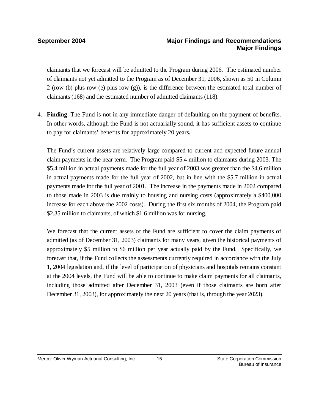claimants that we forecast will be admitted to the Program during 2006. The estimated number of claimants not yet admitted to the Program as of December 31, 2006, shown as 50 in Column 2 (row (b) plus row (e) plus row (g)), is the difference between the estimated total number of claimants (168) and the estimated number of admitted claimants (118).

4. **Finding**: The Fund is not in any immediate danger of defaulting on the payment of benefits. In other words, although the Fund is not actuarially sound, it has sufficient assets to continue to pay for claimants' benefits for approximately 20 years**.**

The Fund's current assets are relatively large compared to current and expected future annual claim payments in the near term. The Program paid \$5.4 million to claimants during 2003. The \$5.4 million in actual payments made for the full year of 2003 was greater than the \$4.6 million in actual payments made for the full year of 2002, but in line with the \$5.7 million in actual payments made for the full year of 2001. The increase in the payments made in 2002 compared to those made in 2003 is due mainly to housing and nursing costs (approximately a \$400,000 increase for each above the 2002 costs). During the first six months of 2004, the Program paid \$2.35 million to claimants, of which \$1.6 million was for nursing.

We forecast that the current assets of the Fund are sufficient to cover the claim payments of admitted (as of December 31, 2003) claimants for many years, given the historical payments of approximately \$5 million to \$6 million per year actually paid by the Fund. Specifically, we forecast that, if the Fund collects the assessments currently required in accordance with the July 1, 2004 legislation and, if the level of participation of physicians and hospitals remains constant at the 2004 levels, the Fund will be able to continue to make claim payments for all claimants, including those admitted after December 31, 2003 (even if those claimants are born after December 31, 2003), for approximately the next 20 years (that is, through the year 2023).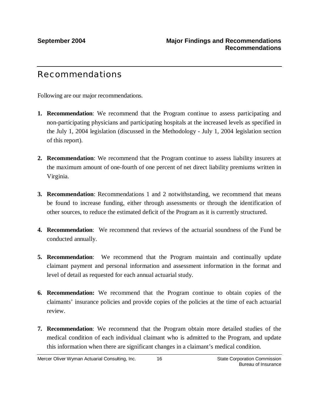# Recommendations

Following are our major recommendations.

- **1. Recommendation**: We recommend that the Program continue to assess participating and non-participating physicians and participating hospitals at the increased levels as specified in the July 1, 2004 legislation (discussed in the Methodology - July 1, 2004 legislation section of this report).
- **2. Recommendation**: We recommend that the Program continue to assess liability insurers at the maximum amount of one-fourth of one percent of net direct liability premiums written in Virginia.
- **3. Recommendation**: Recommendations 1 and 2 notwithstanding, we recommend that means be found to increase funding, either through assessments or through the identification of other sources, to reduce the estimated deficit of the Program as it is currently structured.
- **4. Recommendation**: We recommend that reviews of the actuarial soundness of the Fund be conducted annually.
- **5. Recommendation**: We recommend that the Program maintain and continually update claimant payment and personal information and assessment information in the format and level of detail as requested for each annual actuarial study.
- **6. Recommendation:** We recommend that the Program continue to obtain copies of the claimants' insurance policies and provide copies of the policies at the time of each actuarial review.
- **7. Recommendation**: We recommend that the Program obtain more detailed studies of the medical condition of each individual claimant who is admitted to the Program, and update this information when there are significant changes in a claimant's medical condition.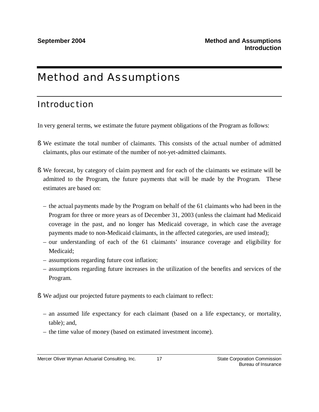# Method and Assumptions

# Introduction

In very general terms, we estimate the future payment obligations of the Program as follows:

- § We estimate the total number of claimants. This consists of the actual number of admitted claimants, plus our estimate of the number of not-yet-admitted claimants.
- § We forecast, by category of claim payment and for each of the claimants we estimate will be admitted to the Program, the future payments that will be made by the Program. These estimates are based on:
	- the actual payments made by the Program on behalf of the 61 claimants who had been in the Program for three or more years as of December 31, 2003 (unless the claimant had Medicaid coverage in the past, and no longer has Medicaid coverage, in which case the average payments made to non-Medicaid claimants, in the affected categories, are used instead);
	- our understanding of each of the 61 claimants' insurance coverage and eligibility for Medicaid;
	- assumptions regarding future cost inflation;
	- assumptions regarding future increases in the utilization of the benefits and services of the Program.
- § We adjust our projected future payments to each claimant to reflect:
	- an assumed life expectancy for each claimant (based on a life expectancy, or mortality, table); and,
	- the time value of money (based on estimated investment income).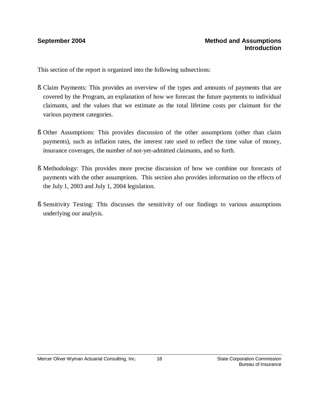### **September 2004 Method and Assumptions Introduction**

This section of the report is organized into the following subsections:

- § Claim Payments: This provides an overview of the types and amounts of payments that are covered by the Program, an explanation of how we forecast the future payments to individual claimants, and the values that we estimate as the total lifetime costs per claimant for the various payment categories.
- § Other Assumptions: This provides discussion of the other assumptions (other than claim payments), such as inflation rates, the interest rate used to reflect the time value of money, insurance coverages, the number of not-yet-admitted claimants, and so forth.
- § Methodology: This provides more precise discussion of how we combine our forecasts of payments with the other assumptions. This section also provides information on the effects of the July 1, 2003 and July 1, 2004 legislation.
- § Sensitivity Testing: This discusses the sensitivity of our findings to various assumptions underlying our analysis.

18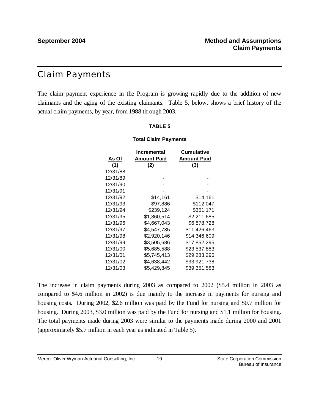## Claim Payments

The claim payment experience in the Program is growing rapidly due to the addition of new claimants and the aging of the existing claimants. Table 5, below, shows a brief history of the actual claim payments, by year, from 1988 through 2003.

### **TABLE 5**

### **Total Claim Payments**

|          | Incremental | <b>Cumulative</b> |
|----------|-------------|-------------------|
| As Of    | Amount Paid | Amount Paid       |
| (1)      | (2)         | (3)               |
| 12/31/88 |             |                   |
| 12/31/89 |             |                   |
| 12/31/90 |             |                   |
| 12/31/91 |             |                   |
| 12/31/92 | \$14,161    | \$14,161          |
| 12/31/93 | \$97,886    | \$112,047         |
| 12/31/94 | \$239,124   | \$351,171         |
| 12/31/95 | \$1,860,514 | \$2,211,685       |
| 12/31/96 | \$4.667.043 | \$6,878,728       |
| 12/31/97 | \$4,547,735 | \$11.426.463      |
| 12/31/98 | \$2,920,146 | \$14,346,609      |
| 12/31/99 | \$3,505,686 | \$17,852,295      |
| 12/31/00 | \$5,685,588 | \$23,537,883      |
| 12/31/01 | \$5,745,413 | \$29,283,296      |
| 12/31/02 | \$4,638,442 | \$33,921,738      |
| 12/31/03 | \$5,429,845 | \$39,351,583      |

The increase in claim payments during 2003 as compared to 2002 (\$5.4 million in 2003 as compared to \$4.6 million in 2002) is due mainly to the increase in payments for nursing and housing costs. During 2002, \$2.6 million was paid by the Fund for nursing and \$0.7 million for housing. During 2003, \$3.0 million was paid by the Fund for nursing and \$1.1 million for housing. The total payments made during 2003 were similar to the payments made during 2000 and 2001 (approximately \$5.7 million in each year as indicated in Table 5).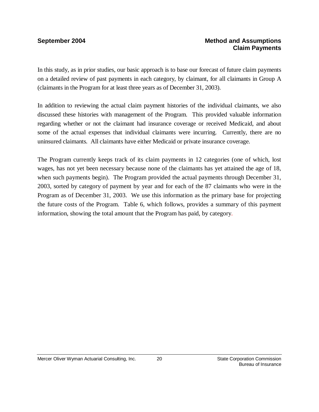In this study, as in prior studies, our basic approach is to base our forecast of future claim payments on a detailed review of past payments in each category, by claimant, for all claimants in Group A (claimants in the Program for at least three years as of December 31, 2003).

In addition to reviewing the actual claim payment histories of the individual claimants, we also discussed these histories with management of the Program. This provided valuable information regarding whether or not the claimant had insurance coverage or received Medicaid, and about some of the actual expenses that individual claimants were incurring. Currently, there are no uninsured claimants. All claimants have either Medicaid or private insurance coverage.

The Program currently keeps track of its claim payments in 12 categories (one of which, lost wages, has not yet been necessary because none of the claimants has yet attained the age of 18, when such payments begin). The Program provided the actual payments through December 31, 2003, sorted by category of payment by year and for each of the 87 claimants who were in the Program as of December 31, 2003. We use this information as the primary base for projecting the future costs of the Program. Table 6, which follows, provides a summary of this payment information, showing the total amount that the Program has paid, by category.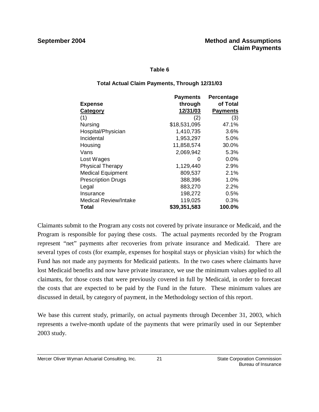### **Table 6**

### **Total Actual Claim Payments, Through 12/31/03**

|                              | <b>Payments</b> | Percentage      |
|------------------------------|-----------------|-----------------|
| <b>Expense</b>               | through         | of Total        |
| Category                     | 12/31/03        | <b>Payments</b> |
| (1)                          | (2)             | (3)             |
| Nursing                      | \$18,531,095    | 47.1%           |
| Hospital/Physician           | 1,410,735       | 3.6%            |
| Incidental                   | 1,953,297       | 5.0%            |
| Housing                      | 11,858,574      | 30.0%           |
| Vans                         | 2,069,942       | 5.3%            |
| Lost Wages                   | O               | 0.0%            |
| <b>Physical Therapy</b>      | 1,129,440       | 2.9%            |
| <b>Medical Equipment</b>     | 809,537         | 2.1%            |
| <b>Prescription Drugs</b>    | 388,396         | 1.0%            |
| Legal                        | 883,270         | 2.2%            |
| Insurance                    | 198,272         | 0.5%            |
| <b>Medical Review/Intake</b> | 119,025         | 0.3%            |
| Total                        | \$39,351,583    | 100.0%          |

Claimants submit to the Program any costs not covered by private insurance or Medicaid, and the Program is responsible for paying these costs. The actual payments recorded by the Program represent "net" payments after recoveries from private insurance and Medicaid. There are several types of costs (for example, expenses for hospital stays or physician visits) for which the Fund has not made any payments for Medicaid patients. In the two cases where claimants have lost Medicaid benefits and now have private insurance, we use the minimum values applied to all claimants, for those costs that were previously covered in full by Medicaid, in order to forecast the costs that are expected to be paid by the Fund in the future. These minimum values are discussed in detail, by category of payment, in the Methodology section of this report.

We base this current study, primarily, on actual payments through December 31, 2003, which represents a twelve-month update of the payments that were primarily used in our September 2003 study.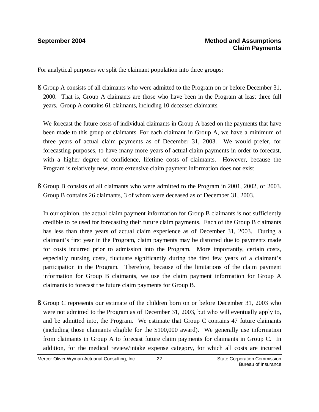For analytical purposes we split the claimant population into three groups:

§ Group A consists of all claimants who were admitted to the Program on or before December 31, 2000. That is, Group A claimants are those who have been in the Program at least three full years. Group A contains 61 claimants, including 10 deceased claimants.

We forecast the future costs of individual claimants in Group A based on the payments that have been made to this group of claimants. For each claimant in Group A, we have a minimum of three years of actual claim payments as of December 31, 2003. We would prefer, for forecasting purposes, to have many more years of actual claim payments in order to forecast, with a higher degree of confidence, lifetime costs of claimants. However, because the Program is relatively new, more extensive claim payment information does not exist.

§ Group B consists of all claimants who were admitted to the Program in 2001, 2002, or 2003. Group B contains 26 claimants, 3 of whom were deceased as of December 31, 2003.

In our opinion, the actual claim payment information for Group B claimants is not sufficiently credible to be used for forecasting their future claim payments. Each of the Group B claimants has less than three years of actual claim experience as of December 31, 2003. During a claimant's first year in the Program, claim payments may be distorted due to payments made for costs incurred prior to admission into the Program. More importantly, certain costs, especially nursing costs, fluctuate significantly during the first few years of a claimant's participation in the Program. Therefore, because of the limitations of the claim payment information for Group B claimants, we use the claim payment information for Group A claimants to forecast the future claim payments for Group B.

§ Group C represents our estimate of the children born on or before December 31, 2003 who were not admitted to the Program as of December 31, 2003, but who will eventually apply to, and be admitted into, the Program. We estimate that Group C contains 47 future claimants (including those claimants eligible for the \$100,000 award). We generally use information from claimants in Group A to forecast future claim payments for claimants in Group C. In addition, for the medical review/intake expense category, for which all costs are incurred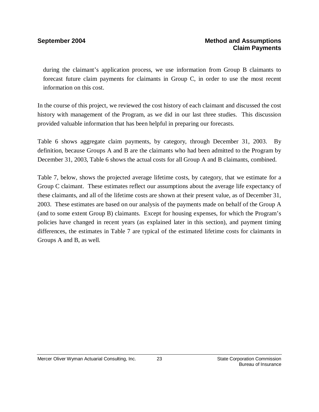during the claimant's application process, we use information from Group B claimants to forecast future claim payments for claimants in Group C, in order to use the most recent information on this cost.

In the course of this project, we reviewed the cost history of each claimant and discussed the cost history with management of the Program, as we did in our last three studies. This discussion provided valuable information that has been helpful in preparing our forecasts.

Table 6 shows aggregate claim payments, by category, through December 31, 2003. By definition, because Groups A and B are the claimants who had been admitted to the Program by December 31, 2003, Table 6 shows the actual costs for all Group A and B claimants, combined.

Table 7, below, shows the projected average lifetime costs, by category, that we estimate for a Group C claimant. These estimates reflect our assumptions about the average life expectancy of these claimants, and all of the lifetime costs are shown at their present value, as of December 31, 2003. These estimates are based on our analysis of the payments made on behalf of the Group A (and to some extent Group B) claimants. Except for housing expenses, for which the Program's policies have changed in recent years (as explained later in this section), and payment timing differences, the estimates in Table 7 are typical of the estimated lifetime costs for claimants in Groups A and B, as well.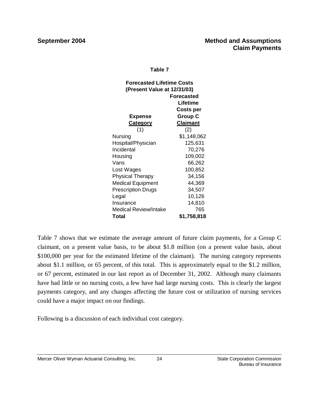### **Table 7**

| <b>Forecasted Lifetime Costs</b><br>(Present Value at 12/31/03) |                  |  |  |
|-----------------------------------------------------------------|------------------|--|--|
|                                                                 | Forecasted       |  |  |
|                                                                 | Lifetime         |  |  |
|                                                                 | <b>Costs per</b> |  |  |
| Expense                                                         | <b>Group C</b>   |  |  |
| <b>Category</b>                                                 | <b>Claimant</b>  |  |  |
| (1)                                                             | (2)              |  |  |
| Nursing                                                         | \$1,148,062      |  |  |
| Hospital/Physician                                              | 125,631          |  |  |
| Incidental                                                      | 70,276           |  |  |
| Housing                                                         | 109,002          |  |  |
| Vans                                                            | 66,262           |  |  |
| Lost Wages                                                      | 100,852          |  |  |
| <b>Physical Therapy</b>                                         | 34,156           |  |  |
| <b>Medical Equipment</b>                                        | 44,369           |  |  |
| <b>Prescription Drugs</b>                                       | 34,507           |  |  |
| Legal                                                           | 10,126           |  |  |
| Insurance                                                       | 14,810           |  |  |
| Medical Review/Intake                                           | 765              |  |  |
| Total                                                           | \$1,758,818      |  |  |

Table 7 shows that we estimate the average amount of future claim payments, for a Group C claimant, on a present value basis, to be about \$1.8 million (on a present value basis, about \$100,000 per year for the estimated lifetime of the claimant). The nursing category represents about \$1.1 million, or 65 percent, of this total. This is approximately equal to the \$1.2 million, or 67 percent, estimated in our last report as of December 31, 2002. Although many claimants have had little or no nursing costs, a few have had large nursing costs. This is clearly the largest payments category, and any changes affecting the future cost or utilization of nursing services could have a major impact on our findings.

Following is a discussion of each individual cost category.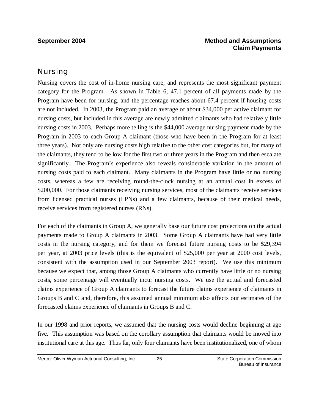### Nursing

Nursing covers the cost of in-home nursing care, and represents the most significant payment category for the Program. As shown in Table 6, 47.1 percent of all payments made by the Program have been for nursing, and the percentage reaches about 67.4 percent if housing costs are not included. In 2003, the Program paid an average of about \$34,000 per active claimant for nursing costs, but included in this average are newly admitted claimants who had relatively little nursing costs in 2003. Perhaps more telling is the \$44,000 average nursing payment made by the Program in 2003 to each Group A claimant (those who have been in the Program for at least three years). Not only are nursing costs high relative to the other cost categories but, for many of the claimants, they tend to be low for the first two or three years in the Program and then escalate significantly. The Program's experience also reveals considerable variation in the amount of nursing costs paid to each claimant. Many claimants in the Program have little or no nursing costs, whereas a few are receiving round-the-clock nursing at an annual cost in excess of \$200,000. For those claimants receiving nursing services, most of the claimants receive services from licensed practical nurses (LPNs) and a few claimants, because of their medical needs, receive services from registered nurses (RNs).

For each of the claimants in Group A, we generally base our future cost projections on the actual payments made to Group A claimants in 2003. Some Group A claimants have had very little costs in the nursing category, and for them we forecast future nursing costs to be \$29,394 per year, at 2003 price levels (this is the equivalent of \$25,000 per year at 2000 cost levels, consistent with the assumption used in our September 2003 report). We use this minimum because we expect that, among those Group A claimants who currently have little or no nursing costs, some percentage will eventually incur nursing costs. We use the actual and forecasted claims experience of Group A claimants to forecast the future claims experience of claimants in Groups B and C and, therefore, this assumed annual minimum also affects our estimates of the forecasted claims experience of claimants in Groups B and C.

In our 1998 and prior reports, we assumed that the nursing costs would decline beginning at age five. This assumption was based on the corollary assumption that claimants would be moved into institutional care at this age. Thus far, only four claimants have been institutionalized, one of whom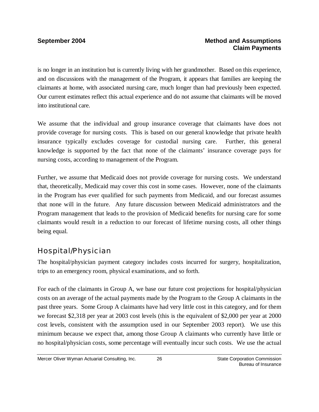is no longer in an institution but is currently living with her grandmother. Based on this experience, and on discussions with the management of the Program, it appears that families are keeping the claimants at home, with associated nursing care, much longer than had previously been expected. Our current estimates reflect this actual experience and do not assume that claimants will be moved into institutional care.

We assume that the individual and group insurance coverage that claimants have does not provide coverage for nursing costs. This is based on our general knowledge that private health insurance typically excludes coverage for custodial nursing care. Further, this general knowledge is supported by the fact that none of the claimants' insurance coverage pays for nursing costs, according to management of the Program.

Further, we assume that Medicaid does not provide coverage for nursing costs. We understand that, theoretically, Medicaid may cover this cost in some cases. However, none of the claimants in the Program has ever qualified for such payments from Medicaid, and our forecast assumes that none will in the future. Any future discussion between Medicaid administrators and the Program management that leads to the provision of Medicaid benefits for nursing care for some claimants would result in a reduction to our forecast of lifetime nursing costs, all other things being equal.

### Hospital/Physician

The hospital/physician payment category includes costs incurred for surgery, hospitalization, trips to an emergency room, physical examinations, and so forth.

For each of the claimants in Group A, we base our future cost projections for hospital/physician costs on an average of the actual payments made by the Program to the Group A claimants in the past three years. Some Group A claimants have had very little cost in this category, and for them we forecast \$2,318 per year at 2003 cost levels (this is the equivalent of \$2,000 per year at 2000 cost levels, consistent with the assumption used in our September 2003 report). We use this minimum because we expect that, among those Group A claimants who currently have little or no hospital/physician costs, some percentage will eventually incur such costs. We use the actual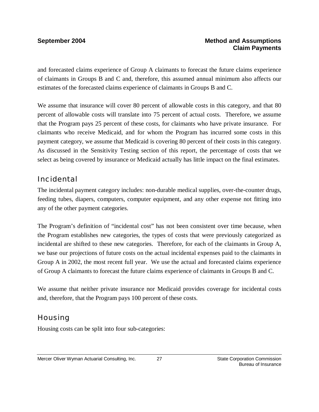and forecasted claims experience of Group A claimants to forecast the future claims experience of claimants in Groups B and C and, therefore, this assumed annual minimum also affects our estimates of the forecasted claims experience of claimants in Groups B and C.

We assume that insurance will cover 80 percent of allowable costs in this category, and that 80 percent of allowable costs will translate into 75 percent of actual costs. Therefore, we assume that the Program pays 25 percent of these costs, for claimants who have private insurance. For claimants who receive Medicaid, and for whom the Program has incurred some costs in this payment category, we assume that Medicaid is covering 80 percent of their costs in this category. As discussed in the Sensitivity Testing section of this report, the percentage of costs that we select as being covered by insurance or Medicaid actually has little impact on the final estimates.

### Incidental

The incidental payment category includes: non-durable medical supplies, over-the-counter drugs, feeding tubes, diapers, computers, computer equipment, and any other expense not fitting into any of the other payment categories.

The Program's definition of "incidental cost" has not been consistent over time because, when the Program establishes new categories, the types of costs that were previously categorized as incidental are shifted to these new categories. Therefore, for each of the claimants in Group A, we base our projections of future costs on the actual incidental expenses paid to the claimants in Group A in 2002, the most recent full year. We use the actual and forecasted claims experience of Group A claimants to forecast the future claims experience of claimants in Groups B and C.

We assume that neither private insurance nor Medicaid provides coverage for incidental costs and, therefore, that the Program pays 100 percent of these costs.

### Housing

Housing costs can be split into four sub-categories: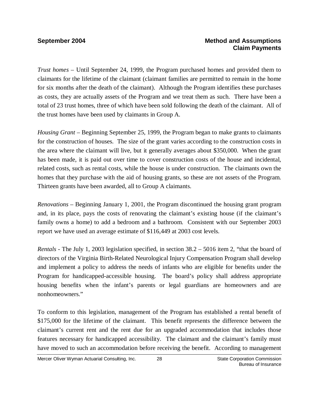*Trust homes* – Until September 24, 1999, the Program purchased homes and provided them to claimants for the lifetime of the claimant (claimant families are permitted to remain in the home for six months after the death of the claimant). Although the Program identifies these purchases as costs, they are actually assets of the Program and we treat them as such. There have been a total of 23 trust homes, three of which have been sold following the death of the claimant. All of the trust homes have been used by claimants in Group A.

*Housing Grant* – Beginning September 25, 1999, the Program began to make grants to claimants for the construction of houses. The size of the grant varies according to the construction costs in the area where the claimant will live, but it generally averages about \$350,000. When the grant has been made, it is paid out over time to cover construction costs of the house and incidental, related costs, such as rental costs, while the house is under construction. The claimants own the homes that they purchase with the aid of housing grants, so these are not assets of the Program. Thirteen grants have been awarded, all to Group A claimants.

*Renovations* – Beginning January 1, 2001, the Program discontinued the housing grant program and, in its place, pays the costs of renovating the claimant's existing house (if the claimant's family owns a home) to add a bedroom and a bathroom. Consistent with our September 2003 report we have used an average estimate of \$116,449 at 2003 cost levels.

*Rentals -* The July 1, 2003 legislation specified, in section 38.2 – 5016 item 2, "that the board of directors of the Virginia Birth-Related Neurological Injury Compensation Program shall develop and implement a policy to address the needs of infants who are eligible for benefits under the Program for handicapped-accessible housing. The board's policy shall address appropriate housing benefits when the infant's parents or legal guardians are homeowners and are nonhomeowners."

To conform to this legislation, management of the Program has established a rental benefit of \$175,000 for the lifetime of the claimant. This benefit represents the difference between the claimant's current rent and the rent due for an upgraded accommodation that includes those features necessary for handicapped accessibility. The claimant and the claimant's family must have moved to such an accommodation before receiving the benefit. According to management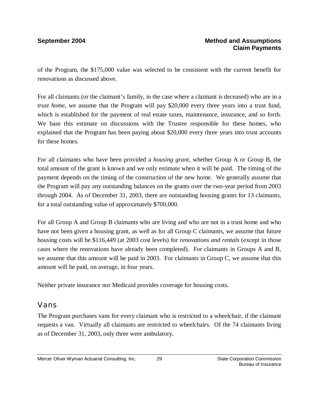of the Program, the \$175,000 value was selected to be consistent with the current benefit for renovations as discussed above.

For all claimants (or the claimant's family, in the case where a claimant is deceased) who are in a *trust home*, we assume that the Program will pay \$20,000 every three years into a trust fund, which is established for the payment of real estate taxes, maintenance, insurance, and so forth. We base this estimate on discussions with the Trustee responsible for these homes, who explained that the Program has been paying about \$20,000 every three years into trust accounts for these homes.

For all claimants who have been provided a *housing grant*, whether Group A or Group B, the total amount of the grant is known and we only estimate when it will be paid. The timing of the payment depends on the timing of the construction of the new home. We generally assume that the Program will pay any outstanding balances on the grants over the two-year period from 2003 through 2004. As of December 31, 2003, there are outstanding housing grants for 13 claimants, for a total outstanding value of approximately \$700,000.

For all Group A and Group B claimants who are living and who are not in a trust home and who have not been given a housing grant, as well as for all Group C claimants, we assume that future housing costs will be \$116,449 (at 2003 cost levels) for *renovations and rentals* (except in those cases where the renovations have already been completed)*.* For claimants in Groups A and B, we assume that this amount will be paid in 2003. For claimants in Group C, we assume that this amount will be paid, on average, in four years.

Neither private insurance nor Medicaid provides coverage for housing costs.

### Vans

The Program purchases vans for every claimant who is restricted to a wheelchair, if the claimant requests a van. Virtually all claimants are restricted to wheelchairs. Of the 74 claimants living as of December 31, 2003, only three were ambulatory.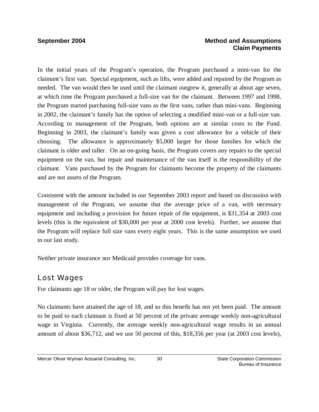In the initial years of the Program's operation, the Program purchased a mini-van for the claimant's first van. Special equipment, such as lifts, were added and repaired by the Program as needed. The van would then be used until the claimant outgrew it, generally at about age seven, at which time the Program purchased a full-size van for the claimant. Between 1997 and 1998, the Program started purchasing full-size vans as the first vans, rather than mini-vans. Beginning in 2002, the claimant's family has the option of selecting a modified mini-van or a full-size van. According to management of the Program, both options are at similar costs to the Fund. Beginning in 2003, the claimant's family was given a cost allowance for a vehicle of their choosing. The allowance is approximately \$5,000 larger for those families for which the claimant is older and taller. On an on-going basis, the Program covers any repairs to the special equipment on the van, but repair and maintenance of the van itself is the responsibility of the claimant. Vans purchased by the Program for claimants become the property of the claimants and are not assets of the Program.

Consistent with the amount included in our September 2003 report and based on discussion with management of the Program, we assume that the average price of a van, with necessary equipment and including a provision for future repair of the equipment, is \$31,354 at 2003 cost levels (this is the equivalent of \$30,000 per year at 2000 cost levels). Further, we assume that the Program will replace full size vans every eight years. This is the same assumption we used in our last study.

Neither private insurance nor Medicaid provides coverage for vans.

### Lost Wages

For claimants age 18 or older, the Program will pay for lost wages.

No claimants have attained the age of 18, and so this benefit has not yet been paid. The amount to be paid to each claimant is fixed at 50 percent of the private average weekly non-agricultural wage in Virginia. Currently, the average weekly non-agricultural wage results in an annual amount of about \$36,712, and we use 50 percent of this, \$18,356 per year (at 2003 cost levels),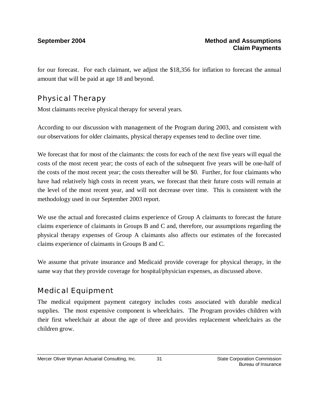for our forecast. For each claimant, we adjust the \$18,356 for inflation to forecast the annual amount that will be paid at age 18 and beyond.

## Physical Therapy

Most claimants receive physical therapy for several years.

According to our discussion with management of the Program during 2003, and consistent with our observations for older claimants, physical therapy expenses tend to decline over time.

We forecast that for most of the claimants: the costs for each of the next five years will equal the costs of the most recent year; the costs of each of the subsequent five years will be one-half of the costs of the most recent year; the costs thereafter will be \$0. Further, for four claimants who have had relatively high costs in recent years, we forecast that their future costs will remain at the level of the most recent year, and will not decrease over time. This is consistent with the methodology used in our September 2003 report.

We use the actual and forecasted claims experience of Group A claimants to forecast the future claims experience of claimants in Groups B and C and, therefore, our assumptions regarding the physical therapy expenses of Group A claimants also affects our estimates of the forecasted claims experience of claimants in Groups B and C.

We assume that private insurance and Medicaid provide coverage for physical therapy, in the same way that they provide coverage for hospital/physician expenses, as discussed above.

# Medical Equipment

The medical equipment payment category includes costs associated with durable medical supplies. The most expensive component is wheelchairs. The Program provides children with their first wheelchair at about the age of three and provides replacement wheelchairs as the children grow.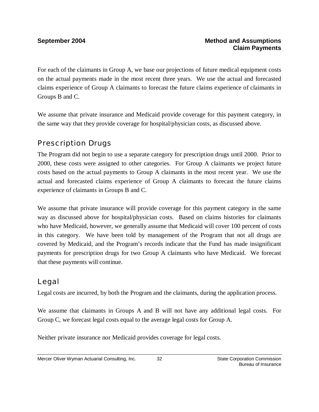For each of the claimants in Group A, we base our projections of future medical equipment costs on the actual payments made in the most recent three years. We use the actual and forecasted claims experience of Group A claimants to forecast the future claims experience of claimants in Groups B and C.

We assume that private insurance and Medicaid provide coverage for this payment category, in the same way that they provide coverage for hospital/physician costs, as discussed above.

### Prescription Drugs

The Program did not begin to use a separate category for prescription drugs until 2000. Prior to 2000, these costs were assigned to other categories. For Group A claimants we project future costs based on the actual payments to Group A claimants in the most recent year. We use the actual and forecasted claims experience of Group A claimants to forecast the future claims experience of claimants in Groups B and C.

We assume that private insurance will provide coverage for this payment category in the same way as discussed above for hospital/physician costs. Based on claims histories for claimants who have Medicaid, however, we generally assume that Medicaid will cover 100 percent of costs in this category. We have been told by management of the Program that not all drugs are covered by Medicaid, and the Program's records indicate that the Fund has made insignificant payments for prescription drugs for two Group A claimants who have Medicaid. We forecast that these payments will continue.

### Legal

Legal costs are incurred, by both the Program and the claimants, during the application process.

We assume that claimants in Groups A and B will not have any additional legal costs. For Group C, we forecast legal costs equal to the average legal costs for Group A.

Neither private insurance nor Medicaid provides coverage for legal costs.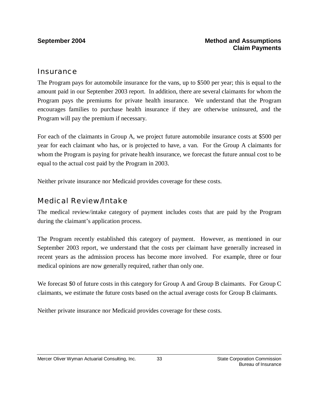### **Insurance**

The Program pays for automobile insurance for the vans, up to \$500 per year; this is equal to the amount paid in our September 2003 report. In addition, there are several claimants for whom the Program pays the premiums for private health insurance. We understand that the Program encourages families to purchase health insurance if they are otherwise uninsured, and the Program will pay the premium if necessary.

For each of the claimants in Group A, we project future automobile insurance costs at \$500 per year for each claimant who has, or is projected to have, a van. For the Group A claimants for whom the Program is paying for private health insurance, we forecast the future annual cost to be equal to the actual cost paid by the Program in 2003.

Neither private insurance nor Medicaid provides coverage for these costs.

## Medical Review/Intake

The medical review/intake category of payment includes costs that are paid by the Program during the claimant's application process.

The Program recently established this category of payment. However, as mentioned in our September 2003 report, we understand that the costs per claimant have generally increased in recent years as the admission process has become more involved. For example, three or four medical opinions are now generally required, rather than only one.

We forecast \$0 of future costs in this category for Group A and Group B claimants. For Group C claimants, we estimate the future costs based on the actual average costs for Group B claimants.

Neither private insurance nor Medicaid provides coverage for these costs.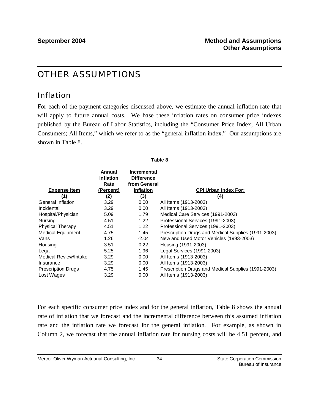# OTHER ASSUMPTIONS

## Inflation

For each of the payment categories discussed above, we estimate the annual inflation rate that will apply to future annual costs. We base these inflation rates on consumer price indexes published by the Bureau of Labor Statistics, including the "Consumer Price Index; All Urban Consumers; All Items," which we refer to as the "general inflation index." Our assumptions are shown in Table 8.

**Table 8**

| <b>Expense Item</b>          | Annual<br><b>Inflation</b><br>Rate<br>(Percent) | <b>Incremental</b><br><b>Difference</b><br>from General<br><b>Inflation</b> | <b>CPI Urban Index For:</b>                         |
|------------------------------|-------------------------------------------------|-----------------------------------------------------------------------------|-----------------------------------------------------|
| (1)                          | (2)                                             | (3)                                                                         | (4)                                                 |
| <b>General Inflation</b>     | 3.29                                            | 0.00                                                                        | All Items (1913-2003)                               |
| Incidental                   | 3.29                                            | 0.00                                                                        | All Items (1913-2003)                               |
| Hospital/Physician           | 5.09                                            | 1.79                                                                        | Medical Care Services (1991-2003)                   |
| Nursing                      | 4.51                                            | 1.22                                                                        | Professional Services (1991-2003)                   |
| <b>Physical Therapy</b>      | 4.51                                            | 1.22                                                                        | Professional Services (1991-2003)                   |
| <b>Medical Equipment</b>     | 4.75                                            | 1.45                                                                        | Prescription Drugs and Medical Supplies (1991-2003) |
| Vans                         | 1.26                                            | $-2.04$                                                                     | New and Used Motor Vehicles (1993-2003)             |
| Housing                      | 3.51                                            | 0.22                                                                        | Housing (1991-2003)                                 |
| Legal                        | 5.25                                            | 1.96                                                                        | Legal Services (1991-2003)                          |
| <b>Medical Review/Intake</b> | 3.29                                            | 0.00                                                                        | All Items (1913-2003)                               |
| Insurance                    | 3.29                                            | 0.00 <sub>1</sub>                                                           | All Items (1913-2003)                               |
| <b>Prescription Drugs</b>    | 4.75                                            | 1.45                                                                        | Prescription Drugs and Medical Supplies (1991-2003) |
| Lost Wages                   | 3.29                                            | 0.00                                                                        | All Items (1913-2003)                               |

For each specific consumer price index and for the general inflation, Table 8 shows the annual rate of inflation that we forecast and the incremental difference between this assumed inflation rate and the inflation rate we forecast for the general inflation. For example, as shown in Column 2, we forecast that the annual inflation rate for nursing costs will be 4.51 percent, and

34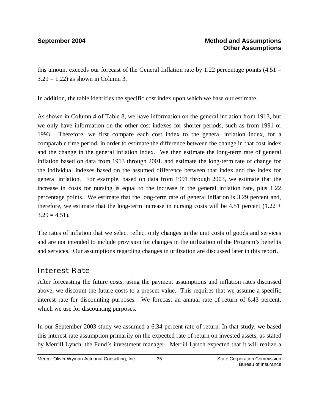### **September 2004 Method and Assumptions Other Assumptions**

this amount exceeds our forecast of the General Inflation rate by 1.22 percentage points  $(4.51 3.29 = 1.22$ ) as shown in Column 3.

In addition, the table identifies the specific cost index upon which we base our estimate.

As shown in Column 4 of Table 8, we have information on the general inflation from 1913, but we only have information on the other cost indexes for shorter periods, such as from 1991 or 1993. Therefore, we first compare each cost index to the general inflation index, for a comparable time period, in order to estimate the difference between the change in that cost index and the change in the general inflation index. We then estimate the long-term rate of general inflation based on data from 1913 through 2001, and estimate the long-term rate of change for the individual indexes based on the assumed difference between that index and the index for general inflation. For example, based on data from 1991 through 2003, we estimate that the increase in costs for nursing is equal to the increase in the general inflation rate, plus 1.22 percentage points. We estimate that the long-term rate of general inflation is 3.29 percent and, therefore, we estimate that the long-term increase in nursing costs will be 4.51 percent  $(1.22 +$  $3.29 = 4.51$ .

The rates of inflation that we select reflect only changes in the unit costs of goods and services and are not intended to include provision for changes in the utilization of the Program's benefits and services. Our assumptions regarding changes in utilization are discussed later in this report.

## Interest Rate

After forecasting the future costs, using the payment assumptions and inflation rates discussed above, we discount the future costs to a present value. This requires that we assume a specific interest rate for discounting purposes. We forecast an annual rate of return of 6.43 percent, which we use for discounting purposes.

In our September 2003 study we assumed a 6.34 percent rate of return. In that study, we based this interest rate assumption primarily on the expected rate of return on invested assets, as stated by Merrill Lynch, the Fund's investment manager. Merrill Lynch expected that it will realize a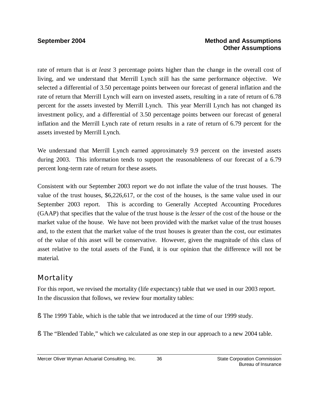### **September 2004 Method and Assumptions Other Assumptions**

rate of return that is *at least* 3 percentage points higher than the change in the overall cost of living, and we understand that Merrill Lynch still has the same performance objective. We selected a differential of 3.50 percentage points between our forecast of general inflation and the rate of return that Merrill Lynch will earn on invested assets, resulting in a rate of return of 6.78 percent for the assets invested by Merrill Lynch. This year Merrill Lynch has not changed its investment policy, and a differential of 3.50 percentage points between our forecast of general inflation and the Merrill Lynch rate of return results in a rate of return of 6.79 percent for the assets invested by Merrill Lynch.

We understand that Merrill Lynch earned approximately 9.9 percent on the invested assets during 2003. This information tends to support the reasonableness of our forecast of a 6.79 percent long-term rate of return for these assets.

Consistent with our September 2003 report we do not inflate the value of the trust houses. The value of the trust houses, \$6,226,617, or the cost of the houses, is the same value used in our September 2003 report. This is according to Generally Accepted Accounting Procedures (GAAP) that specifies that the value of the trust house is the *lesser* of the cost of the house or the market value of the house. We have not been provided with the market value of the trust houses and, to the extent that the market value of the trust houses is greater than the cost, our estimates of the value of this asset will be conservative. However, given the magnitude of this class of asset relative to the total assets of the Fund, it is our opinion that the difference will not be material.

# Mortality

For this report, we revised the mortality (life expectancy) table that we used in our 2003 report. In the discussion that follows, we review four mortality tables:

- § The 1999 Table, which is the table that we introduced at the time of our 1999 study.
- § The "Blended Table," which we calculated as one step in our approach to a new 2004 table.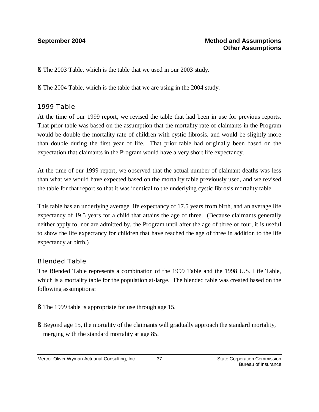§ The 2003 Table, which is the table that we used in our 2003 study.

§ The 2004 Table, which is the table that we are using in the 2004 study.

### *1999 Table*

At the time of our 1999 report, we revised the table that had been in use for previous reports. That prior table was based on the assumption that the mortality rate of claimants in the Program would be double the mortality rate of children with cystic fibrosis, and would be slightly more than double during the first year of life. That prior table had originally been based on the expectation that claimants in the Program would have a very short life expectancy.

At the time of our 1999 report, we observed that the actual number of claimant deaths was less than what we would have expected based on the mortality table previously used, and we revised the table for that report so that it was identical to the underlying cystic fibrosis mortality table.

This table has an underlying average life expectancy of 17.5 years from birth, and an average life expectancy of 19.5 years for a child that attains the age of three. (Because claimants generally neither apply to, nor are admitted by, the Program until after the age of three or four, it is useful to show the life expectancy for children that have reached the age of three in addition to the life expectancy at birth.)

### *Blended Table*

The Blended Table represents a combination of the 1999 Table and the 1998 U.S. Life Table, which is a mortality table for the population at-large. The blended table was created based on the following assumptions:

- § The 1999 table is appropriate for use through age 15.
- § Beyond age 15, the mortality of the claimants will gradually approach the standard mortality, merging with the standard mortality at age 85.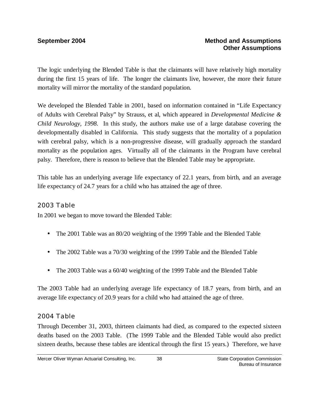The logic underlying the Blended Table is that the claimants will have relatively high mortality during the first 15 years of life. The longer the claimants live, however, the more their future mortality will mirror the mortality of the standard population.

We developed the Blended Table in 2001, based on information contained in "Life Expectancy of Adults with Cerebral Palsy" by Strauss, et al, which appeared in *Developmental Medicine & Child Neurology, 1998.* In this study, the authors make use of a large database covering the developmentally disabled in California. This study suggests that the mortality of a population with cerebral palsy, which is a non-progressive disease, will gradually approach the standard mortality as the population ages. Virtually all of the claimants in the Program have cerebral palsy. Therefore, there is reason to believe that the Blended Table may be appropriate.

This table has an underlying average life expectancy of 22.1 years, from birth, and an average life expectancy of 24.7 years for a child who has attained the age of three.

### *2003 Table*

In 2001 we began to move toward the Blended Table:

- The 2001 Table was an 80/20 weighting of the 1999 Table and the Blended Table
- The 2002 Table was a 70/30 weighting of the 1999 Table and the Blended Table
- The 2003 Table was a 60/40 weighting of the 1999 Table and the Blended Table

The 2003 Table had an underlying average life expectancy of 18.7 years, from birth, and an average life expectancy of 20.9 years for a child who had attained the age of three.

### *2004 Table*

Through December 31, 2003, thirteen claimants had died, as compared to the expected sixteen deaths based on the 2003 Table. (The 1999 Table and the Blended Table would also predict sixteen deaths, because these tables are identical through the first 15 years.) Therefore, we have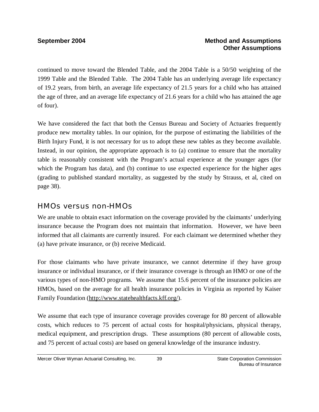### **September 2004 Method and Assumptions Other Assumptions**

continued to move toward the Blended Table, and the 2004 Table is a 50/50 weighting of the 1999 Table and the Blended Table. The 2004 Table has an underlying average life expectancy of 19.2 years, from birth, an average life expectancy of 21.5 years for a child who has attained the age of three, and an average life expectancy of 21.6 years for a child who has attained the age of four).

We have considered the fact that both the Census Bureau and Society of Actuaries frequently produce new mortality tables. In our opinion, for the purpose of estimating the liabilities of the Birth Injury Fund, it is not necessary for us to adopt these new tables as they become available. Instead, in our opinion, the appropriate approach is to (a) continue to ensure that the mortality table is reasonably consistent with the Program's actual experience at the younger ages (for which the Program has data), and (b) continue to use expected experience for the higher ages (grading to published standard mortality, as suggested by the study by Strauss, et al, cited on page 38).

### HMOs versus non-HMOs

We are unable to obtain exact information on the coverage provided by the claimants' underlying insurance because the Program does not maintain that information. However, we have been informed that all claimants are currently insured. For each claimant we determined whether they (a) have private insurance, or (b) receive Medicaid.

For those claimants who have private insurance, we cannot determine if they have group insurance or individual insurance, or if their insurance coverage is through an HMO or one of the various types of non-HMO programs. We assume that 15.6 percent of the insurance policies are HMOs, based on the average for all health insurance policies in Virginia as reported by Kaiser Family Foundation ([http://www.statehealthfacts.kff.org/\)](http://www.statehealthfacts.kff.org/).

We assume that each type of insurance coverage provides coverage for 80 percent of allowable costs, which reduces to 75 percent of actual costs for hospital/physicians, physical therapy, medical equipment, and prescription drugs. These assumptions (80 percent of allowable costs, and 75 percent of actual costs) are based on general knowledge of the insurance industry.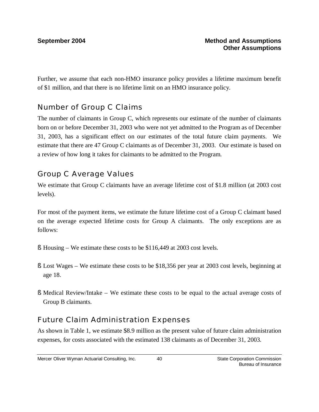Further, we assume that each non-HMO insurance policy provides a lifetime maximum benefit of \$1 million, and that there is no lifetime limit on an HMO insurance policy.

# Number of Group C Claims

The number of claimants in Group C, which represents our estimate of the number of claimants born on or before December 31, 2003 who were not yet admitted to the Program as of December 31, 2003, has a significant effect on our estimates of the total future claim payments. We estimate that there are 47 Group C claimants as of December 31, 2003. Our estimate is based on a review of how long it takes for claimants to be admitted to the Program.

# Group C Average Values

We estimate that Group C claimants have an average lifetime cost of \$1.8 million (at 2003 cost levels).

For most of the payment items, we estimate the future lifetime cost of a Group C claimant based on the average expected lifetime costs for Group A claimants. The only exceptions are as follows:

- § Housing We estimate these costs to be \$116,449 at 2003 cost levels.
- § Lost Wages We estimate these costs to be \$18,356 per year at 2003 cost levels, beginning at age 18.
- § Medical Review/Intake We estimate these costs to be equal to the actual average costs of Group B claimants.

# Future Claim Administration Expenses

As shown in Table 1, we estimate \$8.9 million as the present value of future claim administration expenses, for costs associated with the estimated 138 claimants as of December 31, 2003.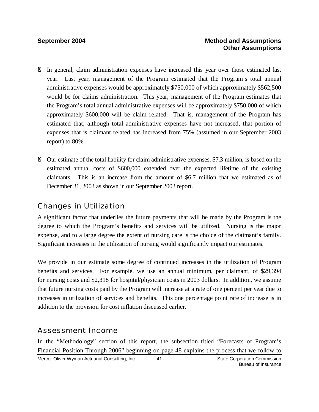- § In general, claim administration expenses have increased this year over those estimated last year. Last year, management of the Program estimated that the Program's total annual administrative expenses would be approximately \$750,000 of which approximately \$562,500 would be for claims administration. This year, management of the Program estimates that the Program's total annual administrative expenses will be approximately \$750,000 of which approximately \$600,000 will be claim related. That is, management of the Program has estimated that, although total administrative expenses have not increased, that portion of expenses that is claimant related has increased from 75% (assumed in our September 2003 report) to 80%.
- § Our estimate of the total liability for claim administrative expenses, \$7.3 million, is based on the estimated annual costs of \$600,000 extended over the expected lifetime of the existing claimants. This is an increase from the amount of \$6.7 million that we estimated as of December 31, 2003 as shown in our September 2003 report.

## Changes in Utilization

A significant factor that underlies the future payments that will be made by the Program is the degree to which the Program's benefits and services will be utilized. Nursing is the major expense, and to a large degree the extent of nursing care is the choice of the claimant's family. Significant increases in the utilization of nursing would significantly impact our estimates.

We provide in our estimate some degree of continued increases in the utilization of Program benefits and services. For example, we use an annual minimum, per claimant, of \$29,394 for nursing costs and \$2,318 for hospital/physician costs in 2003 dollars. In addition, we assume that future nursing costs paid by the Program will increase at a rate of one percent per year due to increases in utilization of services and benefits. This one percentage point rate of increase is in addition to the provision for cost inflation discussed earlier.

## Assessment Income

Mercer Oliver Wyman Actuarial Consulting, Inc.  $\qquad 41$  State Corporation Commission Bureau of Insurance 41 In the "Methodology" section of this report, the subsection titled "Forecasts of Program's Financial Position Through 2006" beginning on page 48 explains the process that we follow to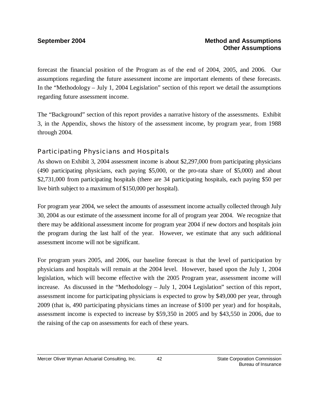forecast the financial position of the Program as of the end of 2004, 2005, and 2006. Our assumptions regarding the future assessment income are important elements of these forecasts. In the "Methodology – July 1, 2004 Legislation" section of this report we detail the assumptions regarding future assessment income.

The "Background" section of this report provides a narrative history of the assessments. Exhibit 3, in the Appendix, shows the history of the assessment income, by program year, from 1988 through 2004.

### *Participating Physicians and Hospitals*

As shown on Exhibit 3, 2004 assessment income is about \$2,297,000 from participating physicians (490 participating physicians, each paying \$5,000, or the pro-rata share of \$5,000) and about \$2,731,000 from participating hospitals (there are 34 participating hospitals, each paying \$50 per live birth subject to a maximum of \$150,000 per hospital).

For program year 2004, we select the amounts of assessment income actually collected through July 30, 2004 as our estimate of the assessment income for all of program year 2004. We recognize that there may be additional assessment income for program year 2004 if new doctors and hospitals join the program during the last half of the year. However, we estimate that any such additional assessment income will not be significant.

For program years 2005, and 2006, our baseline forecast is that the level of participation by physicians and hospitals will remain at the 2004 level. However, based upon the July 1, 2004 legislation, which will become effective with the 2005 Program year, assessment income will increase. As discussed in the "Methodology – July 1, 2004 Legislation" section of this report, assessment income for participating physicians is expected to grow by \$49,000 per year, through 2009 (that is, 490 participating physicians times an increase of \$100 per year) and for hospitals, assessment income is expected to increase by \$59,350 in 2005 and by \$43,550 in 2006, due to the raising of the cap on assessments for each of these years.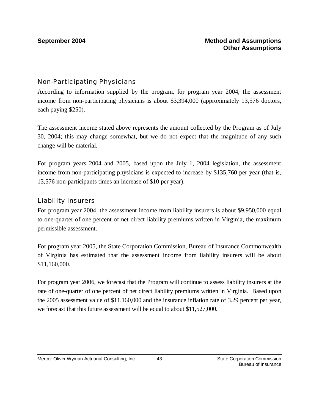### *Non-Participating Physicians*

According to information supplied by the program, for program year 2004, the assessment income from non-participating physicians is about \$3,394,000 (approximately 13,576 doctors, each paying \$250).

The assessment income stated above represents the amount collected by the Program as of July 30, 2004; this may change somewhat, but we do not expect that the magnitude of any such change will be material.

For program years 2004 and 2005, based upon the July 1, 2004 legislation, the assessment income from non-participating physicians is expected to increase by \$135,760 per year (that is, 13,576 non-participants times an increase of \$10 per year).

### *Liability Insurers*

For program year 2004, the assessment income from liability insurers is about \$9,950,000 equal to one-quarter of one percent of net direct liability premiums written in Virginia, the maximum permissible assessment.

For program year 2005, the State Corporation Commission, Bureau of Insurance Commonwealth of Virginia has estimated that the assessment income from liability insurers will be about \$11,160,000.

For program year 2006, we forecast that the Program will continue to assess liability insurers at the rate of one-quarter of one percent of net direct liability premiums written in Virginia. Based upon the 2005 assessment value of \$11,160,000 and the insurance inflation rate of 3.29 percent per year, we forecast that this future assessment will be equal to about \$11,527,000.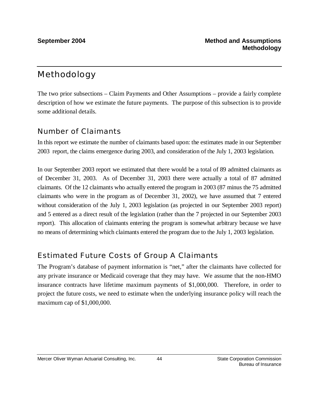# Methodology

The two prior subsections – Claim Payments and Other Assumptions – provide a fairly complete description of how we estimate the future payments. The purpose of this subsection is to provide some additional details.

# Number of Claimants

In this report we estimate the number of claimants based upon: the estimates made in our September 2003 report, the claims emergence during 2003, and consideration of the July 1, 2003 legislation.

In our September 2003 report we estimated that there would be a total of 89 admitted claimants as of December 31, 2003. As of December 31, 2003 there were actually a total of 87 admitted claimants. Of the 12 claimants who actually entered the program in 2003 (87 minus the 75 admitted claimants who were in the program as of December 31, 2002), we have assumed that 7 entered without consideration of the July 1, 2003 legislation (as projected in our September 2003 report) and 5 entered as a direct result of the legislation (rather than the 7 projected in our September 2003 report). This allocation of claimants entering the program is somewhat arbitrary because we have no means of determining which claimants entered the program due to the July 1, 2003 legislation.

# Estimated Future Costs of Group A Claimants

The Program's database of payment information is "net," after the claimants have collected for any private insurance or Medicaid coverage that they may have. We assume that the non-HMO insurance contracts have lifetime maximum payments of \$1,000,000. Therefore, in order to project the future costs, we need to estimate when the underlying insurance policy will reach the maximum cap of \$1,000,000.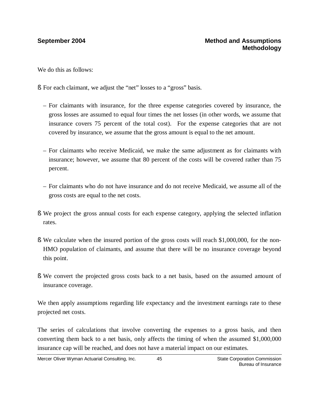We do this as follows:

- § For each claimant, we adjust the "net" losses to a "gross" basis.
	- For claimants with insurance, for the three expense categories covered by insurance, the gross losses are assumed to equal four times the net losses (in other words, we assume that insurance covers 75 percent of the total cost). For the expense categories that are not covered by insurance, we assume that the gross amount is equal to the net amount.
	- For claimants who receive Medicaid, we make the same adjustment as for claimants with insurance; however, we assume that 80 percent of the costs will be covered rather than 75 percent.
	- For claimants who do not have insurance and do not receive Medicaid, we assume all of the gross costs are equal to the net costs.
- § We project the gross annual costs for each expense category, applying the selected inflation rates.
- § We calculate when the insured portion of the gross costs will reach \$1,000,000, for the non-HMO population of claimants, and assume that there will be no insurance coverage beyond this point.
- § We convert the projected gross costs back to a net basis, based on the assumed amount of insurance coverage.

We then apply assumptions regarding life expectancy and the investment earnings rate to these projected net costs.

The series of calculations that involve converting the expenses to a gross basis, and then converting them back to a net basis, only affects the timing of when the assumed \$1,000,000 insurance cap will be reached, and does not have a material impact on our estimates.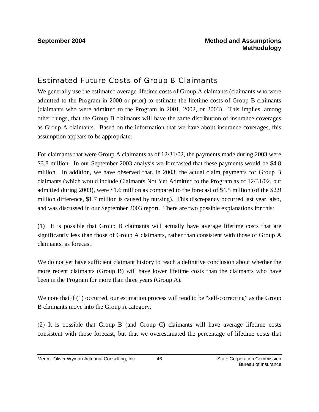# Estimated Future Costs of Group B Claimants

We generally use the estimated average lifetime costs of Group A claimants (claimants who were admitted to the Program in 2000 or prior) to estimate the lifetime costs of Group B claimants (claimants who were admitted to the Program in 2001, 2002, or 2003). This implies, among other things, that the Group B claimants will have the same distribution of insurance coverages as Group A claimants. Based on the information that we have about insurance coverages, this assumption appears to be appropriate.

For claimants that were Group A claimants as of 12/31/02, the payments made during 2003 were \$3.8 million. In our September 2003 analysis we forecasted that these payments would be \$4.8 million. In addition, we have observed that, in 2003, the actual claim payments for Group B claimants (which would include Claimants Not Yet Admitted to the Program as of 12/31/02, but admitted during 2003), were \$1.6 million as compared to the forecast of \$4.5 million (of the \$2.9 million difference, \$1.7 million is caused by nursing). This discrepancy occurred last year, also, and was discussed in our September 2003 report. There are two possible explanations for this:

(1) It is possible that Group B claimants will actually have average lifetime costs that are significantly less than those of Group A claimants, rather than consistent with those of Group A claimants, as forecast.

We do not yet have sufficient claimant history to reach a definitive conclusion about whether the more recent claimants (Group B) will have lower lifetime costs than the claimants who have been in the Program for more than three years (Group A).

We note that if (1) occurred, our estimation process will tend to be "self-correcting" as the Group B claimants move into the Group A category.

(2) It is possible that Group B (and Group C) claimants will have average lifetime costs consistent with those forecast, but that we overestimated the percentage of lifetime costs that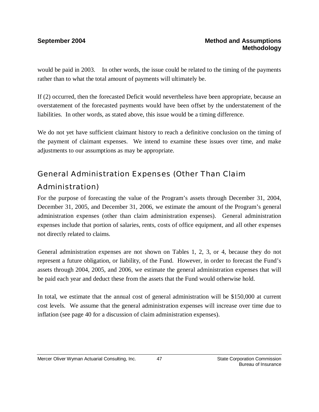would be paid in 2003. In other words, the issue could be related to the timing of the payments rather than to what the total amount of payments will ultimately be.

If (2) occurred, then the forecasted Deficit would nevertheless have been appropriate, because an overstatement of the forecasted payments would have been offset by the understatement of the liabilities. In other words, as stated above, this issue would be a timing difference.

We do not yet have sufficient claimant history to reach a definitive conclusion on the timing of the payment of claimant expenses. We intend to examine these issues over time, and make adjustments to our assumptions as may be appropriate.

# General Administration Expenses (Other Than Claim Administration)

For the purpose of forecasting the value of the Program's assets through December 31, 2004, December 31, 2005, and December 31, 2006, we estimate the amount of the Program's general administration expenses (other than claim administration expenses). General administration expenses include that portion of salaries, rents, costs of office equipment, and all other expenses not directly related to claims.

General administration expenses are not shown on Tables 1, 2, 3, or 4, because they do not represent a future obligation, or liability, of the Fund. However, in order to forecast the Fund's assets through 2004, 2005, and 2006, we estimate the general administration expenses that will be paid each year and deduct these from the assets that the Fund would otherwise hold.

In total, we estimate that the annual cost of general administration will be \$150,000 at current cost levels. We assume that the general administration expenses will increase over time due to inflation (see page 40 for a discussion of claim administration expenses).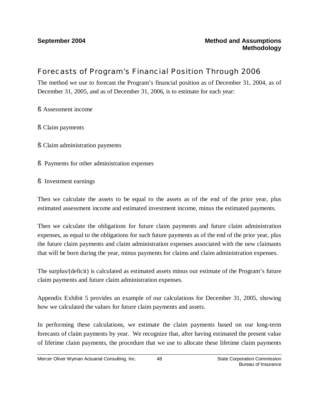# Forecasts of Program's Financial Position Through 2006

The method we use to forecast the Program's financial position as of December 31, 2004, as of December 31, 2005, and as of December 31, 2006, is to estimate for each year:

- § Assessment income
- § Claim payments
- § Claim administration payments
- § Payments for other administration expenses
- § Investment earnings

Then we calculate the assets to be equal to the assets as of the end of the prior year, plus estimated assessment income and estimated investment income, minus the estimated payments.

Then we calculate the obligations for future claim payments and future claim administration expenses, as equal to the obligations for such future payments as of the end of the prior year, plus the future claim payments and claim administration expenses associated with the new claimants that will be born during the year, minus payments for claims and claim administration expenses.

The surplus/(deficit) is calculated as estimated assets minus our estimate of the Program's future claim payments and future claim administration expenses.

Appendix Exhibit 5 provides an example of our calculations for December 31, 2005, showing how we calculated the values for future claim payments and assets.

In performing these calculations, we estimate the claim payments based on our long-term forecasts of claim payments by year. We recognize that, after having estimated the present value of lifetime claim payments, the procedure that we use to allocate these lifetime claim payments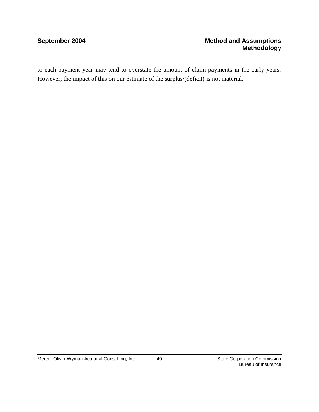### **September 2004 Method and Assumptions Methodology**

to each payment year may tend to overstate the amount of claim payments in the early years. However, the impact of this on our estimate of the surplus/(deficit) is not material.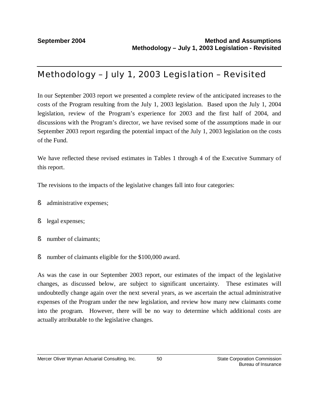# Methodology – July 1, 2003 Legislation – Revisited

In our September 2003 report we presented a complete review of the anticipated increases to the costs of the Program resulting from the July 1, 2003 legislation. Based upon the July 1, 2004 legislation, review of the Program's experience for 2003 and the first half of 2004, and discussions with the Program's director, we have revised some of the assumptions made in our September 2003 report regarding the potential impact of the July 1, 2003 legislation on the costs of the Fund.

We have reflected these revised estimates in Tables 1 through 4 of the Executive Summary of this report.

The revisions to the impacts of the legislative changes fall into four categories:

- § administrative expenses;
- § legal expenses;
- § number of claimants;
- § number of claimants eligible for the \$100,000 award.

As was the case in our September 2003 report, our estimates of the impact of the legislative changes, as discussed below, are subject to significant uncertainty. These estimates will undoubtedly change again over the next several years, as we ascertain the actual administrative expenses of the Program under the new legislation, and review how many new claimants come into the program. However, there will be no way to determine which additional costs are actually attributable to the legislative changes.

50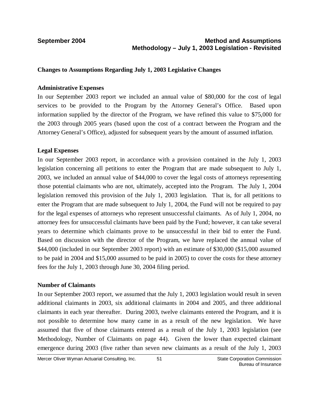### **September 2004 Method and Assumptions Methodology – July 1, 2003 Legislation - Revisited**

### **Changes to Assumptions Regarding July 1, 2003 Legislative Changes**

### **Administrative Expenses**

In our September 2003 report we included an annual value of \$80,000 for the cost of legal services to be provided to the Program by the Attorney General's Office. Based upon information supplied by the director of the Program, we have refined this value to \$75,000 for the 2003 through 2005 years (based upon the cost of a contract between the Program and the Attorney General's Office), adjusted for subsequent years by the amount of assumed inflation.

### **Legal Expenses**

In our September 2003 report, in accordance with a provision contained in the July 1, 2003 legislation concerning all petitions to enter the Program that are made subsequent to July 1, 2003, we included an annual value of \$44,000 to cover the legal costs of attorneys representing those potential claimants who are not, ultimately, accepted into the Program. The July 1, 2004 legislation removed this provision of the July 1, 2003 legislation. That is, for all petitions to enter the Program that are made subsequent to July 1, 2004, the Fund will not be required to pay for the legal expenses of attorneys who represent unsuccessful claimants. As of July 1, 2004, no attorney fees for unsuccessful claimants have been paid by the Fund; however, it can take several years to determine which claimants prove to be unsuccessful in their bid to enter the Fund. Based on discussion with the director of the Program, we have replaced the annual value of \$44,000 (included in our September 2003 report) with an estimate of \$30,000 (\$15,000 assumed to be paid in 2004 and \$15,000 assumed to be paid in 2005) to cover the costs for these attorney fees for the July 1, 2003 through June 30, 2004 filing period.

### **Number of Claimants**

In our September 2003 report, we assumed that the July 1, 2003 legislation would result in seven additional claimants in 2003, six additional claimants in 2004 and 2005, and three additional claimants in each year thereafter. During 2003, twelve claimants entered the Program, and it is not possible to determine how many came in as a result of the new legislation. We have assumed that five of those claimants entered as a result of the July 1, 2003 legislation (see Methodology, Number of Claimants on page 44). Given the lower than expected claimant emergence during 2003 (five rather than seven new claimants as a result of the July 1, 2003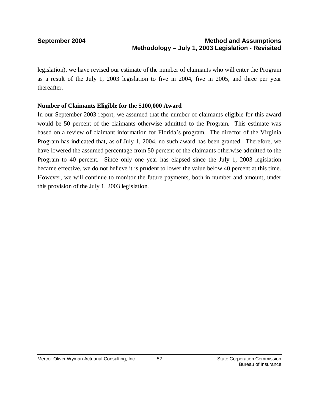legislation), we have revised our estimate of the number of claimants who will enter the Program as a result of the July 1, 2003 legislation to five in 2004, five in 2005, and three per year thereafter.

### **Number of Claimants Eligible for the \$100,000 Award**

In our September 2003 report, we assumed that the number of claimants eligible for this award would be 50 percent of the claimants otherwise admitted to the Program. This estimate was based on a review of claimant information for Florida's program. The director of the Virginia Program has indicated that, as of July 1, 2004, no such award has been granted. Therefore, we have lowered the assumed percentage from 50 percent of the claimants otherwise admitted to the Program to 40 percent. Since only one year has elapsed since the July 1, 2003 legislation became effective, we do not believe it is prudent to lower the value below 40 percent at this time. However, we will continue to monitor the future payments, both in number and amount, under this provision of the July 1, 2003 legislation.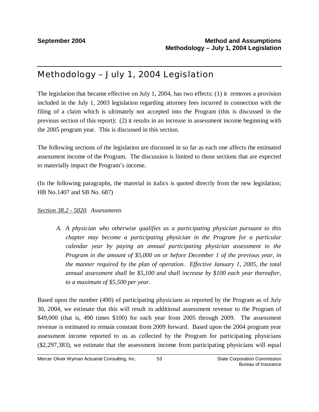# Methodology – July 1, 2004 Legislation

The legislation that became effective on July 1, 2004, has two effects: (1) it removes a provision included in the July 1, 2003 legislation regarding attorney fees incurred in connection with the filing of a claim which is ultimately not accepted into the Program (this is discussed in the previous section of this report); (2) it results in an increase in assessment income beginning with the 2005 program year. This is discussed in this section.

The following sections of the legislation are discussed in so far as each one affects the estimated assessment income of the Program. The discussion is limited to those sections that are expected to materially impact the Program's income.

(In the following paragraphs, the material in italics is quoted directly from the new legislation; HB No.1407 and SB No. 687)

### *Section 38.2 - 5020. Assessments*

*A. A physician who otherwise qualifies as a participating physician pursuant to this chapter may become a participating physician in the Program for a particular calendar year by paying an annual participating physician assessment to the Program in the amount of \$5,000 on or before December 1 of the previous year, in the manner required by the plan of operation. Effective January 1, 2005, the total annual assessment shall be \$5,100 and shall increase by \$100 each year thereafter, to a maximum of \$5,500 per year.* 

Based upon the number (490) of participating physicians as reported by the Program as of July 30, 2004, we estimate that this will result in additional assessment revenue to the Program of \$49,000 (that is, 490 times \$100) for each year from 2005 through 2009. The assessment revenue is estimated to remain constant from 2009 forward. Based upon the 2004 program year assessment income reported to us as collected by the Program for participating physicians (\$2,297,383), we estimate that the assessment income from participating physicians will equal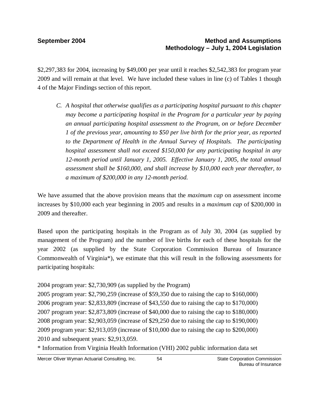\$2,297,383 for 2004, increasing by \$49,000 per year until it reaches \$2,542,383 for program year 2009 and will remain at that level. We have included these values in line (c) of Tables 1 though 4 of the Major Findings section of this report.

*C. A hospital that otherwise qualifies as a participating hospital pursuant to this chapter may become a participating hospital in the Program for a particular year by paying an annual participating hospital assessment to the Program, on or before December 1 of the previous year, amounting to \$50 per live birth for the prior year, as reported to the Department of Health in the Annual Survey of Hospitals. The participating hospital assessment shall not exceed \$150,000 for any participating hospital in any 12-month period until January 1, 2005. Effective January 1, 2005, the total annual assessment shall be \$160,000, and shall increase by \$10,000 each year thereafter, to a maximum of \$200,000 in any 12-month period.* 

We have assumed that the above provision means that the *maximum cap* on assessment income increases by \$10,000 each year beginning in 2005 and results in a *maximum cap* of \$200,000 in 2009 and thereafter.

Based upon the participating hospitals in the Program as of July 30, 2004 (as supplied by management of the Program) and the number of live births for each of these hospitals for the year 2002 (as supplied by the State Corporation Commission Bureau of Insurance Commonwealth of Virginia\*), we estimate that this will result in the following assessments for participating hospitals:

2004 program year: \$2,730,909 (as supplied by the Program)

 program year: \$2,790,259 (increase of \$59,350 due to raising the cap to \$160,000) program year: \$2,833,809 (increase of \$43,550 due to raising the cap to \$170,000) program year: \$2,873,809 (increase of \$40,000 due to raising the cap to \$180,000) program year: \$2,903,059 (increase of \$29,250 due to raising the cap to \$190,000) program year: \$2,913,059 (increase of \$10,000 due to raising the cap to \$200,000) and subsequent years: \$2,913,059.

\* Information from Virginia Health Information (VHI) 2002 public information data set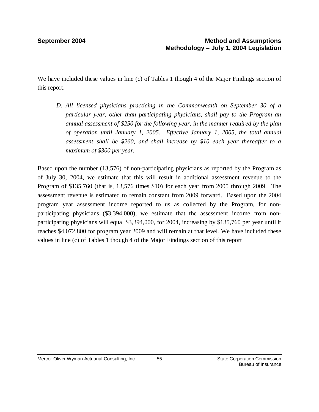We have included these values in line (c) of Tables 1 though 4 of the Major Findings section of this report.

*D. All licensed physicians practicing in the Commonwealth on September 30 of a particular year, other than participating physicians, shall pay to the Program an annual assessment of \$250 for the following year, in the manner required by the plan of operation until January 1, 2005. Effective January 1, 2005, the total annual assessment shall be \$260, and shall increase by \$10 each year thereafter to a maximum of \$300 per year.* 

Based upon the number (13,576) of non-participating physicians as reported by the Program as of July 30, 2004, we estimate that this will result in additional assessment revenue to the Program of \$135,760 (that is, 13,576 times \$10) for each year from 2005 through 2009. The assessment revenue is estimated to remain constant from 2009 forward. Based upon the 2004 program year assessment income reported to us as collected by the Program, for nonparticipating physicians (\$3,394,000), we estimate that the assessment income from nonparticipating physicians will equal \$3,394,000, for 2004, increasing by \$135,760 per year until it reaches \$4,072,800 for program year 2009 and will remain at that level. We have included these values in line (c) of Tables 1 though 4 of the Major Findings section of this report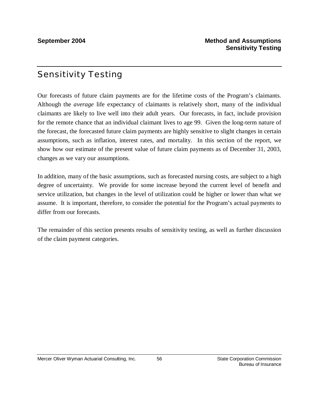# Sensitivity Testing

Our forecasts of future claim payments are for the lifetime costs of the Program's claimants. Although the *average* life expectancy of claimants is relatively short, many of the individual claimants are likely to live well into their adult years. Our forecasts, in fact, include provision for the remote chance that an individual claimant lives to age 99. Given the long-term nature of the forecast, the forecasted future claim payments are highly sensitive to slight changes in certain assumptions, such as inflation, interest rates, and mortality. In this section of the report, we show how our estimate of the present value of future claim payments as of December 31, 2003, changes as we vary our assumptions.

In addition, many of the basic assumptions, such as forecasted nursing costs, are subject to a high degree of uncertainty. We provide for some increase beyond the current level of benefit and service utilization, but changes in the level of utilization could be higher or lower than what we assume. It is important, therefore, to consider the potential for the Program's actual payments to differ from our forecasts.

The remainder of this section presents results of sensitivity testing, as well as further discussion of the claim payment categories.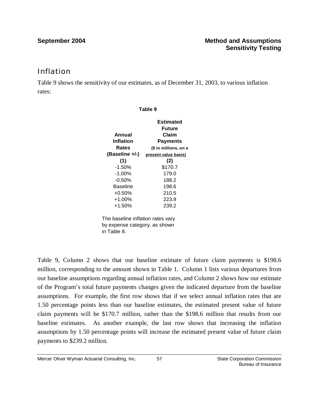## Inflation

Table 9 shows the sensitivity of our estimates, as of December 31, 2003, to various inflation rates:

| Table 9                           |                       |  |  |
|-----------------------------------|-----------------------|--|--|
|                                   | Estimated             |  |  |
|                                   | <b>Future</b>         |  |  |
| Annual                            | Claim                 |  |  |
| Inflation                         | <b>Payments</b>       |  |  |
| Rates                             | (\$ in millions, on a |  |  |
| (Baseline +/-)                    | present value basis)  |  |  |
| (1)                               | (2)                   |  |  |
| $-1.50%$                          | \$170.7               |  |  |
| $-1.00\%$                         | 179.0                 |  |  |
| $-0.50%$                          | 188.2                 |  |  |
| <b>Baseline</b>                   | 198.6                 |  |  |
| $+0.50%$                          | 210.5                 |  |  |
| $+1.00%$                          | 223.9                 |  |  |
| $+1.50%$                          | 239.2                 |  |  |
| The baseline inflation rates vary |                       |  |  |
| by expense category, as shown     |                       |  |  |
| in Table 8.                       |                       |  |  |

Table 9, Column 2 shows that our baseline estimate of future claim payments is \$198.6 million, corresponding to the amount shown in Table 1. Column 1 lists various departures from our baseline assumptions regarding annual inflation rates, and Column 2 shows how our estimate of the Program's total future payments changes given the indicated departure from the baseline assumptions. For example, the first row shows that if we select annual inflation rates that are 1.50 percentage points less than our baseline estimates, the estimated present value of future claim payments will be \$170.7 million, rather than the \$198.6 million that results from our baseline estimates. As another example, the last row shows that increasing the inflation assumptions by 1.50 percentage points will increase the estimated present value of future claim payments to \$239.2 million.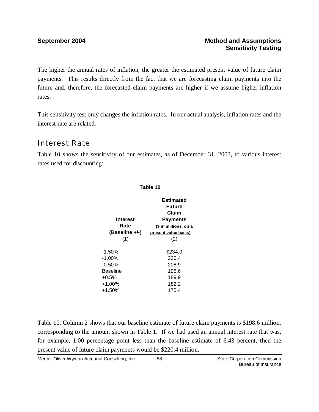The higher the annual rates of inflation, the greater the estimated present value of future claim payments. This results directly from the fact that we are forecasting claim payments into the future and, therefore, the forecasted claim payments are higher if we assume higher inflation rates.

This sensitivity test only changes the inflation rates. In our actual analysis, inflation rates and the interest rate are related.

# Interest Rate

Table 10 shows the sensitivity of our estimates, as of December 31, 2003, to various interest rates used for discounting:

| 1 U.J.V IV      |                       |  |
|-----------------|-----------------------|--|
|                 | Estimated             |  |
|                 | Future                |  |
|                 | Claim                 |  |
| <b>Interest</b> | <b>Payments</b>       |  |
| Rate            | (\$ in millions, on a |  |
| (Baseline +/-)  | present value basis)  |  |
| (1)             | (2)                   |  |
|                 |                       |  |
| $-1.50\%$       | \$234.0               |  |
| $-1.00\%$       | 220.4                 |  |
| $-0.50%$        | 208.9                 |  |
| Baseline        | 198.6                 |  |
| $+0.5%$         | 189.9                 |  |
| $+1.00%$        | 182.2                 |  |
| $+1.50%$        | 175.4                 |  |

**Table 10**

Table 10, Column 2 shows that our baseline estimate of future claim payments is \$198.6 million, corresponding to the amount shown in Table 1. If we had used an annual interest rate that was, for example, 1.00 percentage point less than the baseline estimate of 6.43 percent, then the present value of future claim payments would be \$220.4 million.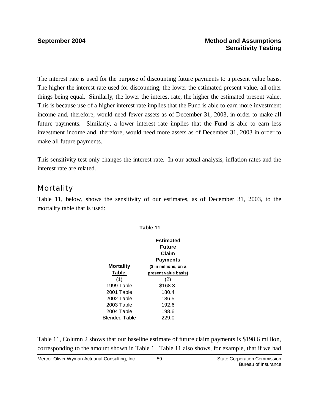The interest rate is used for the purpose of discounting future payments to a present value basis. The higher the interest rate used for discounting, the lower the estimated present value, all other things being equal. Similarly, the lower the interest rate, the higher the estimated present value. This is because use of a higher interest rate implies that the Fund is able to earn more investment income and, therefore, would need fewer assets as of December 31, 2003, in order to make all future payments. Similarly, a lower interest rate implies that the Fund is able to earn less investment income and, therefore, would need more assets as of December 31, 2003 in order to make all future payments.

This sensitivity test only changes the interest rate. In our actual analysis, inflation rates and the interest rate are related.

# Mortality

Table 11, below, shows the sensitivity of our estimates, as of December 31, 2003, to the mortality table that is used:

|                  | Estimated             |
|------------------|-----------------------|
|                  | Future                |
|                  | Claim                 |
|                  | Payments              |
| <b>Mortality</b> | (\$ in millions, on a |
| Table            | present value basis)  |
| (1)              | (2)                   |
| 1999 Table       | \$168.3               |
| 2001 Table       | 180.4                 |
| 2002 Table       | 186.5                 |
| 2003 Table       | 192.6                 |
| 2004 Table       | 198.6                 |
| Blended Table    | 229.0                 |

**Table 11**

Table 11, Column 2 shows that our baseline estimate of future claim payments is \$198.6 million, corresponding to the amount shown in Table 1. Table 11 also shows, for example, that if we had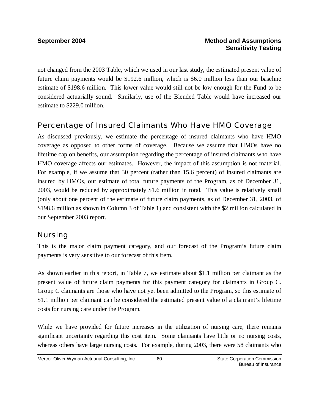not changed from the 2003 Table, which we used in our last study, the estimated present value of future claim payments would be \$192.6 million, which is \$6.0 million less than our baseline estimate of \$198.6 million. This lower value would still not be low enough for the Fund to be considered actuarially sound. Similarly, use of the Blended Table would have increased our estimate to \$229.0 million.

## Percentage of Insured Claimants Who Have HMO Coverage

As discussed previously, we estimate the percentage of insured claimants who have HMO coverage as opposed to other forms of coverage. Because we assume that HMOs have no lifetime cap on benefits, our assumption regarding the percentage of insured claimants who have HMO coverage affects our estimates. However, the impact of this assumption is not material. For example, if we assume that 30 percent (rather than 15.6 percent) of insured claimants are insured by HMOs, our estimate of total future payments of the Program, as of December 31, 2003, would be reduced by approximately \$1.6 million in total. This value is relatively small (only about one percent of the estimate of future claim payments, as of December 31, 2003, of \$198.6 million as shown in Column 3 of Table 1) and consistent with the \$2 million calculated in our September 2003 report.

## Nursing

This is the major claim payment category, and our forecast of the Program's future claim payments is very sensitive to our forecast of this item.

As shown earlier in this report, in Table 7, we estimate about \$1.1 million per claimant as the present value of future claim payments for this payment category for claimants in Group C. Group C claimants are those who have not yet been admitted to the Program, so this estimate of \$1.1 million per claimant can be considered the estimated present value of a claimant's lifetime costs for nursing care under the Program.

While we have provided for future increases in the utilization of nursing care, there remains significant uncertainty regarding this cost item. Some claimants have little or no nursing costs, whereas others have large nursing costs. For example, during 2003, there were 58 claimants who

60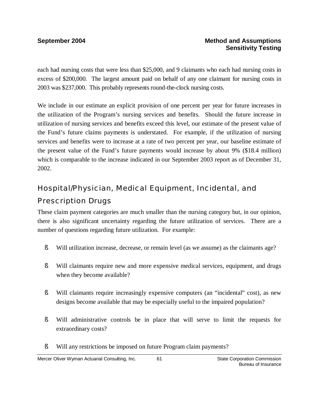each had nursing costs that were less than \$25,000, and 9 claimants who each had nursing costs in excess of \$200,000. The largest amount paid on behalf of any one claimant for nursing costs in 2003 was \$237,000. This probably represents round-the-clock nursing costs.

We include in our estimate an explicit provision of one percent per year for future increases in the utilization of the Program's nursing services and benefits. Should the future increase in utilization of nursing services and benefits exceed this level, our estimate of the present value of the Fund's future claims payments is understated. For example, if the utilization of nursing services and benefits were to increase at a rate of two percent per year, our baseline estimate of the present value of the Fund's future payments would increase by about 9% (\$18.4 million) which is comparable to the increase indicated in our September 2003 report as of December 31, 2002.

# Hospital/Physician, Medical Equipment, Incidental, and

# Prescription Drugs

These claim payment categories are much smaller than the nursing category but, in our opinion, there is also significant uncertainty regarding the future utilization of services. There are a number of questions regarding future utilization. For example:

- § Will utilization increase, decrease, or remain level (as we assume) as the claimants age?
- § Will claimants require new and more expensive medical services, equipment, and drugs when they become available?
- § Will claimants require increasingly expensive computers (an "incidental" cost), as new designs become available that may be especially useful to the impaired population?
- § Will administrative controls be in place that will serve to limit the requests for extraordinary costs?
- § Will any restrictions be imposed on future Program claim payments?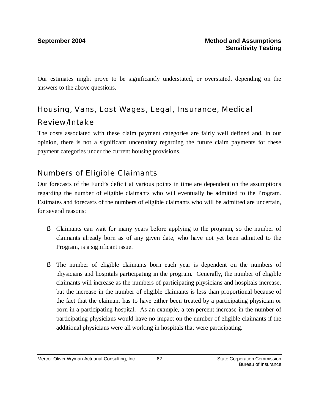Our estimates might prove to be significantly understated, or overstated, depending on the answers to the above questions.

# Housing, Vans, Lost Wages, Legal, Insurance, Medical Review/Intake

The costs associated with these claim payment categories are fairly well defined and, in our opinion, there is not a significant uncertainty regarding the future claim payments for these payment categories under the current housing provisions.

# Numbers of Eligible Claimants

Our forecasts of the Fund's deficit at various points in time are dependent on the assumptions regarding the number of eligible claimants who will eventually be admitted to the Program. Estimates and forecasts of the numbers of eligible claimants who will be admitted are uncertain, for several reasons:

- § Claimants can wait for many years before applying to the program, so the number of claimants already born as of any given date, who have not yet been admitted to the Program, is a significant issue.
- § The number of eligible claimants born each year is dependent on the numbers of physicians and hospitals participating in the program. Generally, the number of eligible claimants will increase as the numbers of participating physicians and hospitals increase, but the increase in the number of eligible claimants is less than proportional because of the fact that the claimant has to have either been treated by a participating physician or born in a participating hospital. As an example, a ten percent increase in the number of participating physicians would have no impact on the number of eligible claimants if the additional physicians were all working in hospitals that were participating.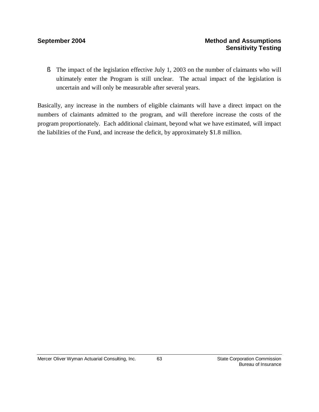§ The impact of the legislation effective July 1, 2003 on the number of claimants who will ultimately enter the Program is still unclear. The actual impact of the legislation is uncertain and will only be measurable after several years.

Basically, any increase in the numbers of eligible claimants will have a direct impact on the numbers of claimants admitted to the program, and will therefore increase the costs of the program proportionately. Each additional claimant, beyond what we have estimated, will impact the liabilities of the Fund, and increase the deficit, by approximately \$1.8 million.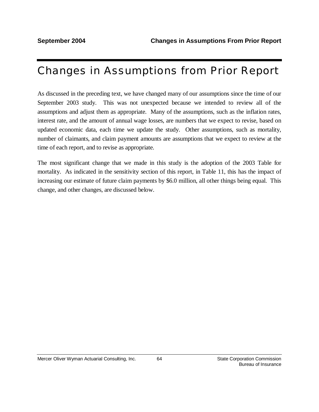# Changes in Assumptions from Prior Report

As discussed in the preceding text, we have changed many of our assumptions since the time of our September 2003 study. This was not unexpected because we intended to review all of the assumptions and adjust them as appropriate. Many of the assumptions, such as the inflation rates, interest rate, and the amount of annual wage losses, are numbers that we expect to revise, based on updated economic data, each time we update the study. Other assumptions, such as mortality, number of claimants, and claim payment amounts are assumptions that we expect to review at the time of each report, and to revise as appropriate.

The most significant change that we made in this study is the adoption of the 2003 Table for mortality. As indicated in the sensitivity section of this report, in Table 11, this has the impact of increasing our estimate of future claim payments by \$6.0 million, all other things being equal. This change, and other changes, are discussed below.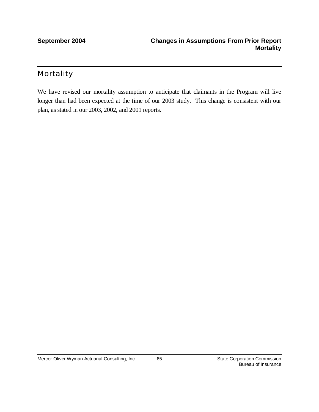## Mortality

We have revised our mortality assumption to anticipate that claimants in the Program will live longer than had been expected at the time of our 2003 study. This change is consistent with our plan, as stated in our 2003, 2002, and 2001 reports.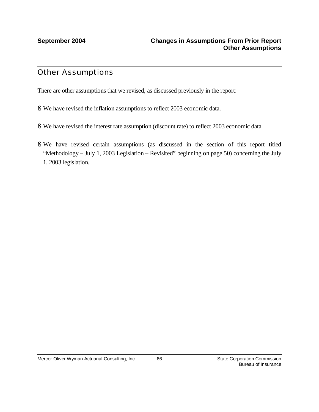## Other Assumptions

There are other assumptions that we revised, as discussed previously in the report:

- § We have revised the inflation assumptions to reflect 2003 economic data.
- § We have revised the interest rate assumption (discount rate) to reflect 2003 economic data.
- § We have revised certain assumptions (as discussed in the section of this report titled "Methodology – July 1, 2003 Legislation – Revisited" beginning on page 50) concerning the July 1, 2003 legislation.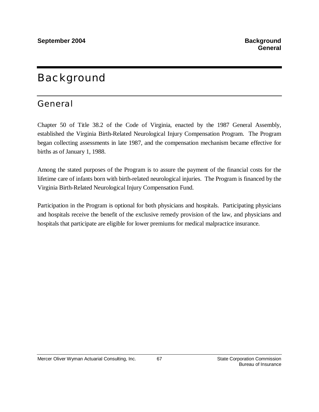# Background

# General

Chapter 50 of Title 38.2 of the Code of Virginia, enacted by the 1987 General Assembly, established the Virginia Birth-Related Neurological Injury Compensation Program. The Program began collecting assessments in late 1987, and the compensation mechanism became effective for births as of January 1, 1988.

Among the stated purposes of the Program is to assure the payment of the financial costs for the lifetime care of infants born with birth-related neurological injuries. The Program is financed by the Virginia Birth-Related Neurological Injury Compensation Fund.

Participation in the Program is optional for both physicians and hospitals. Participating physicians and hospitals receive the benefit of the exclusive remedy provision of the law, and physicians and hospitals that participate are eligible for lower premiums for medical malpractice insurance.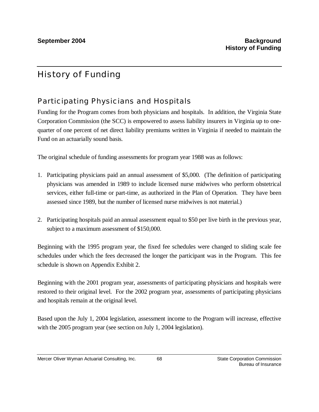# History of Funding

# Participating Physicians and Hospitals

Funding for the Program comes from both physicians and hospitals. In addition, the Virginia State Corporation Commission (the SCC) is empowered to assess liability insurers in Virginia up to onequarter of one percent of net direct liability premiums written in Virginia if needed to maintain the Fund on an actuarially sound basis.

The original schedule of funding assessments for program year 1988 was as follows:

- 1. Participating physicians paid an annual assessment of \$5,000. (The definition of participating physicians was amended in 1989 to include licensed nurse midwives who perform obstetrical services, either full-time or part-time, as authorized in the Plan of Operation. They have been assessed since 1989, but the number of licensed nurse midwives is not material.)
- 2. Participating hospitals paid an annual assessment equal to \$50 per live birth in the previous year, subject to a maximum assessment of \$150,000.

Beginning with the 1995 program year, the fixed fee schedules were changed to sliding scale fee schedules under which the fees decreased the longer the participant was in the Program. This fee schedule is shown on Appendix Exhibit 2.

Beginning with the 2001 program year, assessments of participating physicians and hospitals were restored to their original level. For the 2002 program year, assessments of participating physicians and hospitals remain at the original level.

Based upon the July 1, 2004 legislation, assessment income to the Program will increase, effective with the 2005 program year (see section on July 1, 2004 legislation).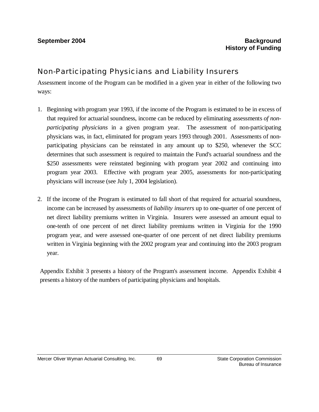### Non-Participating Physicians and Liability Insurers

Assessment income of the Program can be modified in a given year in either of the following two ways:

- 1. Beginning with program year 1993, if the income of the Program is estimated to be in excess of that required for actuarial soundness, income can be reduced by eliminating assessments *of nonparticipating physicians* in a given program year. The assessment of non-participating physicians was, in fact, eliminated for program years 1993 through 2001. Assessments of nonparticipating physicians can be reinstated in any amount up to \$250, whenever the SCC determines that such assessment is required to maintain the Fund's actuarial soundness and the \$250 assessments were reinstated beginning with program year 2002 and continuing into program year 2003. Effective with program year 2005, assessments for non-participating physicians will increase (see July 1, 2004 legislation).
- 2. If the income of the Program is estimated to fall short of that required for actuarial soundness, income can be increased by assessments of *liability insurers* up to one-quarter of one percent of net direct liability premiums written in Virginia. Insurers were assessed an amount equal to one-tenth of one percent of net direct liability premiums written in Virginia for the 1990 program year, and were assessed one-quarter of one percent of net direct liability premiums written in Virginia beginning with the 2002 program year and continuing into the 2003 program year.

Appendix Exhibit 3 presents a history of the Program's assessment income. Appendix Exhibit 4 presents a history of the numbers of participating physicians and hospitals.

69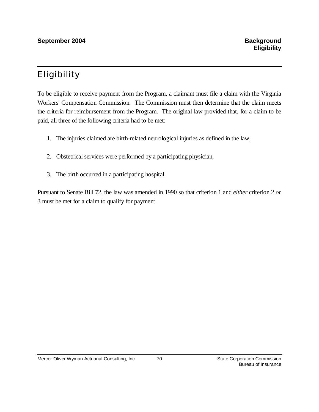# Eligibility

To be eligible to receive payment from the Program, a claimant must file a claim with the Virginia Workers' Compensation Commission. The Commission must then determine that the claim meets the criteria for reimbursement from the Program. The original law provided that, for a claim to be paid, all three of the following criteria had to be met:

- 1. The injuries claimed are birth-related neurological injuries as defined in the law,
- 2. Obstetrical services were performed by a participating physician,
- 3. The birth occurred in a participating hospital.

Pursuant to Senate Bill 72, the law was amended in 1990 so that criterion 1 and *either* criterion 2 *or* 3 must be met for a claim to qualify for payment.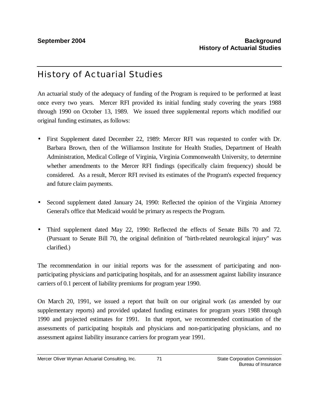## History of Actuarial Studies

An actuarial study of the adequacy of funding of the Program is required to be performed at least once every two years. Mercer RFI provided its initial funding study covering the years 1988 through 1990 on October 13, 1989. We issued three supplemental reports which modified our original funding estimates, as follows:

- First Supplement dated December 22, 1989: Mercer RFI was requested to confer with Dr. Barbara Brown, then of the Williamson Institute for Health Studies, Department of Health Administration, Medical College of Virginia, Virginia Commonwealth University, to determine whether amendments to the Mercer RFI findings (specifically claim frequency) should be considered. As a result, Mercer RFI revised its estimates of the Program's expected frequency and future claim payments.
- Second supplement dated January 24, 1990: Reflected the opinion of the Virginia Attorney General's office that Medicaid would be primary as respects the Program.
- Third supplement dated May 22, 1990: Reflected the effects of Senate Bills 70 and 72. (Pursuant to Senate Bill 70, the original definition of "birth-related neurological injury" was clarified.)

The recommendation in our initial reports was for the assessment of participating and nonparticipating physicians and participating hospitals, and for an assessment against liability insurance carriers of 0.1 percent of liability premiums for program year 1990.

On March 20, 1991, we issued a report that built on our original work (as amended by our supplementary reports) and provided updated funding estimates for program years 1988 through 1990 and projected estimates for 1991. In that report, we recommended continuation of the assessments of participating hospitals and physicians and non-participating physicians, and no assessment against liability insurance carriers for program year 1991.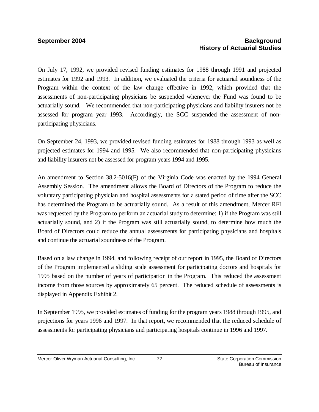### **September 2004 Background Background History of Actuarial Studies**

On July 17, 1992, we provided revised funding estimates for 1988 through 1991 and projected estimates for 1992 and 1993. In addition, we evaluated the criteria for actuarial soundness of the Program within the context of the law change effective in 1992, which provided that the assessments of non-participating physicians be suspended whenever the Fund was found to be actuarially sound. We recommended that non-participating physicians and liability insurers not be assessed for program year 1993. Accordingly, the SCC suspended the assessment of nonparticipating physicians.

On September 24, 1993, we provided revised funding estimates for 1988 through 1993 as well as projected estimates for 1994 and 1995. We also recommended that non-participating physicians and liability insurers not be assessed for program years 1994 and 1995.

An amendment to Section 38.2-5016(F) of the Virginia Code was enacted by the 1994 General Assembly Session. The amendment allows the Board of Directors of the Program to reduce the voluntary participating physician and hospital assessments for a stated period of time after the SCC has determined the Program to be actuarially sound. As a result of this amendment, Mercer RFI was requested by the Program to perform an actuarial study to determine: 1) if the Program was still actuarially sound, and 2) if the Program was still actuarially sound, to determine how much the Board of Directors could reduce the annual assessments for participating physicians and hospitals and continue the actuarial soundness of the Program.

Based on a law change in 1994, and following receipt of our report in 1995, the Board of Directors of the Program implemented a sliding scale assessment for participating doctors and hospitals for 1995 based on the number of years of participation in the Program. This reduced the assessment income from those sources by approximately 65 percent. The reduced schedule of assessments is displayed in Appendix Exhibit 2.

In September 1995, we provided estimates of funding for the program years 1988 through 1995, and projections for years 1996 and 1997. In that report, we recommended that the reduced schedule of assessments for participating physicians and participating hospitals continue in 1996 and 1997.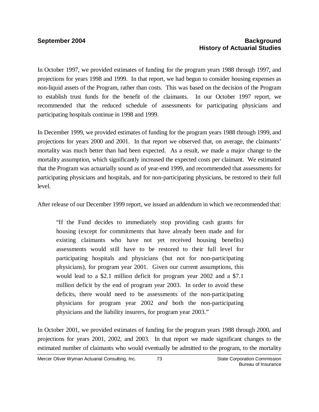### **September 2004 Background Background History of Actuarial Studies**

In October 1997, we provided estimates of funding for the program years 1988 through 1997, and projections for years 1998 and 1999. In that report, we had begun to consider housing expenses as non-liquid assets of the Program, rather than costs. This was based on the decision of the Program to establish trust funds for the benefit of the claimants. In our October 1997 report, we recommended that the reduced schedule of assessments for participating physicians and participating hospitals continue in 1998 and 1999.

In December 1999, we provided estimates of funding for the program years 1988 through 1999, and projections for years 2000 and 2001. In that report we observed that, on average, the claimants' mortality was much better than had been expected. As a result, we made a major change to the mortality assumption, which significantly increased the expected costs per claimant. We estimated that the Program was actuarially sound as of year-end 1999, and recommended that assessments for participating physicians and hospitals, and for non-participating physicians, be restored to their full level.

After release of our December 1999 report, we issued an addendum in which we recommended that:

"If the Fund decides to immediately stop providing cash grants for housing (except for commitments that have already been made and for existing claimants who have not yet received housing benefits) assessments would still have to be restored to their full level for participating hospitals and physicians (but not for non-participating physicians), for program year 2001. Given our current assumptions, this would lead to a \$2.1 million deficit for program year 2002 and a \$7.1 million deficit by the end of program year 2003. In order to avoid these deficits, there would need to be assessments of the non-participating physicians for program year 2002 *and* both the non-participating physicians and the liability insurers, for program year 2003."

In October 2001, we provided estimates of funding for the program years 1988 through 2000, and projections for years 2001, 2002, and 2003. In that report we made significant changes to the estimated number of claimants who would eventually be admitted to the program, to the mortality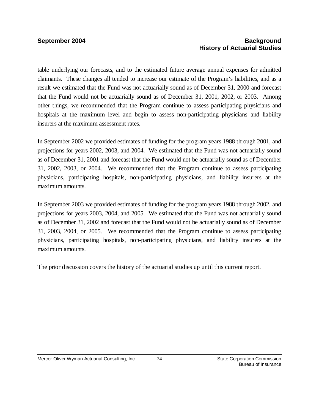### **September 2004 Background History of Actuarial Studies**

table underlying our forecasts, and to the estimated future average annual expenses for admitted claimants. These changes all tended to increase our estimate of the Program's liabilities, and as a result we estimated that the Fund was not actuarially sound as of December 31, 2000 and forecast that the Fund would not be actuarially sound as of December 31, 2001, 2002, or 2003. Among other things, we recommended that the Program continue to assess participating physicians and hospitals at the maximum level and begin to assess non-participating physicians and liability insurers at the maximum assessment rates.

In September 2002 we provided estimates of funding for the program years 1988 through 2001, and projections for years 2002, 2003, and 2004. We estimated that the Fund was not actuarially sound as of December 31, 2001 and forecast that the Fund would not be actuarially sound as of December 31, 2002, 2003, or 2004. We recommended that the Program continue to assess participating physicians, participating hospitals, non-participating physicians, and liability insurers at the maximum amounts.

In September 2003 we provided estimates of funding for the program years 1988 through 2002, and projections for years 2003, 2004, and 2005. We estimated that the Fund was not actuarially sound as of December 31, 2002 and forecast that the Fund would not be actuarially sound as of December 31, 2003, 2004, or 2005. We recommended that the Program continue to assess participating physicians, participating hospitals, non-participating physicians, and liability insurers at the maximum amounts.

The prior discussion covers the history of the actuarial studies up until this current report.

74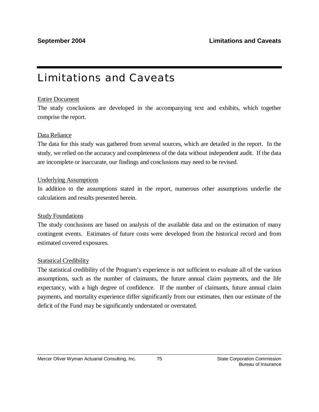# Limitations and Caveats

#### Entire Document

The study conclusions are developed in the accompanying text and exhibits, which together comprise the report.

### Data Reliance

The data for this study was gathered from several sources, which are detailed in the report. In the study, we relied on the accuracy and completeness of the data without independent audit. If the data are incomplete or inaccurate, our findings and conclusions may need to be revised.

#### Underlying Assumptions

In addition to the assumptions stated in the report, numerous other assumptions underlie the calculations and results presented herein.

#### Study Foundations

The study conclusions are based on analysis of the available data and on the estimation of many contingent events. Estimates of future costs were developed from the historical record and from estimated covered exposures.

#### Statistical Credibility

The statistical credibility of the Program's experience is not sufficient to evaluate all of the various assumptions, such as the number of claimants, the future annual claim payments, and the life expectancy, with a high degree of confidence. If the number of claimants, future annual claim payments, and mortality experience differ significantly from our estimates, then our estimate of the deficit of the Fund may be significantly understated or overstated.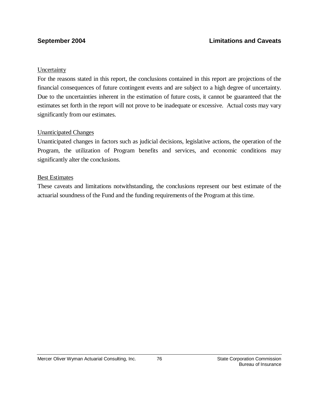#### **Uncertainty**

For the reasons stated in this report, the conclusions contained in this report are projections of the financial consequences of future contingent events and are subject to a high degree of uncertainty. Due to the uncertainties inherent in the estimation of future costs, it cannot be guaranteed that the estimates set forth in the report will not prove to be inadequate or excessive. Actual costs may vary significantly from our estimates.

#### Unanticipated Changes

Unanticipated changes in factors such as judicial decisions, legislative actions, the operation of the Program, the utilization of Program benefits and services, and economic conditions may significantly alter the conclusions.

#### Best Estimates

These caveats and limitations notwithstanding, the conclusions represent our best estimate of the actuarial soundness of the Fund and the funding requirements of the Program at this time.